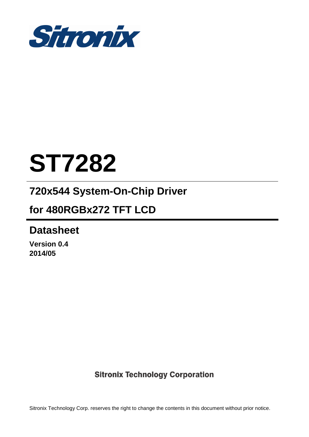

# **ST7282**

# **720x544 System-On-Chip Driver**

## **for 480RGBx272 TFT LCD**

## **Datasheet**

**Version 0.4 2014/05** 

### **Sitronix Technology Corporation**

Sitronix Technology Corp. reserves the right to change the contents in this document without prior notice.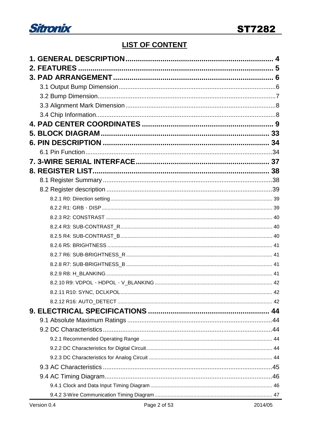

### **LIST OF CONTENT**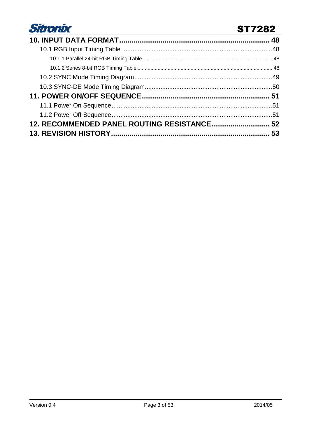

### **ST7282**

| 12. RECOMMENDED PANEL ROUTING RESISTANCE 52 |  |
|---------------------------------------------|--|
|                                             |  |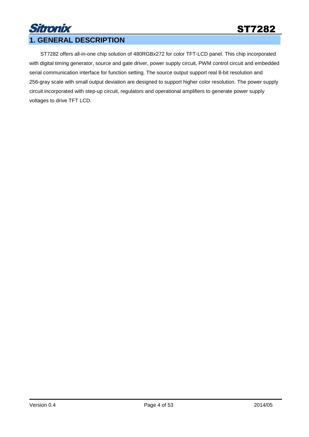### Sitronix **1. GENERAL DESCRIPTION**

ST7282 offers all-in-one chip solution of 480RGBx272 for color TFT-LCD panel. This chip incorporated with digital timing generator, source and gate driver, power supply circuit, PWM control circuit and embedded serial communication interface for function setting. The source output support real 8-bit resolution and 256-gray scale with small output deviation are designed to support higher color resolution. The power supply circuit incorporated with step-up circuit, regulators and operational amplifiers to generate power supply voltages to drive TFT LCD.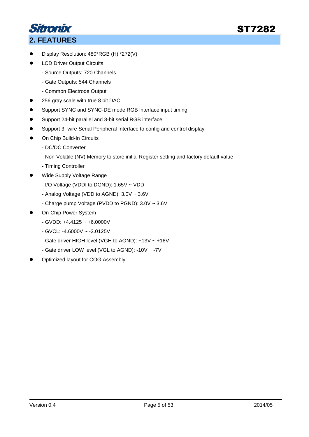

### **2. FEATURES**

- Display Resolution: 480\*RGB (H) \*272(V)
- LCD Driver Output Circuits
	- Source Outputs: 720 Channels
	- Gate Outputs: 544 Channels
	- Common Electrode Output
- 256 gray scale with true 8 bit DAC
- **•** Support SYNC and SYNC-DE mode RGB interface input timing
- Support 24-bit parallel and 8-bit serial RGB interface
- Support 3- wire Serial Peripheral Interface to config and control display
- **•** On Chip Build-In Circuits
	- DC/DC Converter
	- Non-Volatile (NV) Memory to store initial Register setting and factory default value
	- Timing Controller
- Wide Supply Voltage Range
	- I/O Voltage (VDDI to DGND): 1.65V ~ VDD
	- Analog Voltage (VDD to AGND): 3.0V ~ 3.6V
	- Charge pump Voltage (PVDD to PGND): 3.0V ~ 3.6V
- On-Chip Power System
	- GVDD: +4.4125 ~ +6.0000V
	- GVCL: -4.6000V ~ -3.0125V
	- Gate driver HIGH level (VGH to AGND): +13V ~ +16V
	- Gate driver LOW level (VGL to AGND): -10V ~ -7V
- Optimized layout for COG Assembly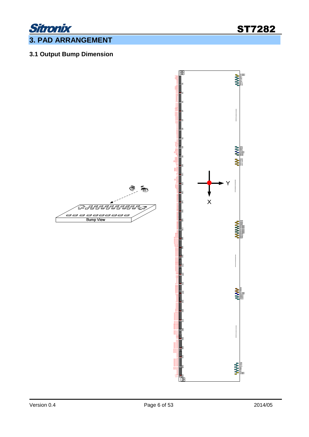

### **3. PAD ARRANGEMENT**

### **3.1 Output Bump Dimension**

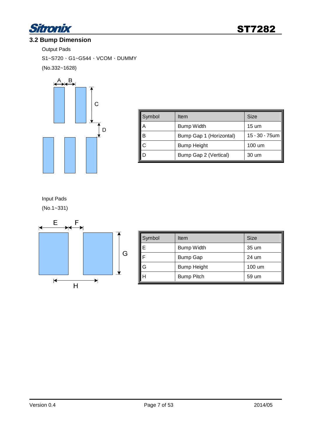

#### **3.2 Bump Dimension**

Output Pads

S1~S720、G1~G544、VCOM、DUMMY (No.332~1628)



| Symbol | Item                    | <b>Size</b>               |
|--------|-------------------------|---------------------------|
|        | <b>Bump Width</b>       | 15 um                     |
| В      | Bump Gap 1 (Horizontal) | $15 \cdot 30 \cdot 75$ um |
|        | <b>Bump Height</b>      | 100 um                    |
|        | Bump Gap 2 (Vertical)   | 30 um                     |

Input Pads

(No.1~331)



| Symbol | Item               | <b>Size</b> |
|--------|--------------------|-------------|
|        | <b>Bump Width</b>  | 35 um       |
|        | <b>Bump Gap</b>    | 24 um       |
|        | <b>Bump Height</b> | 100 um      |
|        | <b>Bump Pitch</b>  | 59 um       |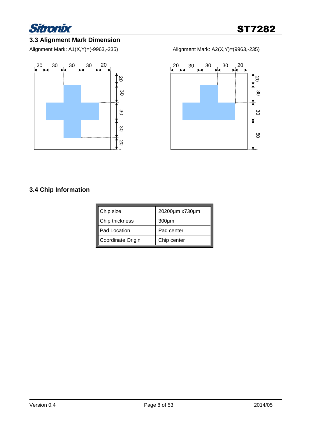

#### **3.3 Alignment Mark Dimension**

Alignment Mark: A1(X,Y)=(-9963,-235) Alignment Mark: A2(X,Y)=(9963,-235)





#### **3.4 Chip Information**

| Chip size         | 20200µm x730µm |
|-------------------|----------------|
| Chip thickness    | $300 \mu m$    |
| Pad Location      | Pad center     |
| Coordinate Origin | Chip center    |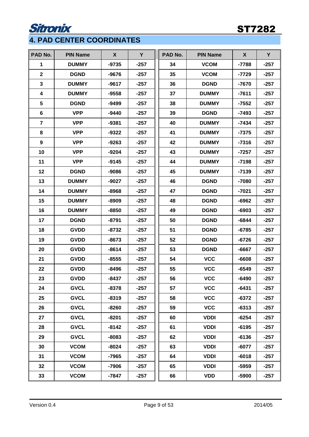# **Sitronix**

### ST7282

### **4. PAD CENTER COORDINATES**

| PAD No.                 | <b>PIN Name</b> | $\mathsf{X}$ | Y      | PAD No. | <b>PIN Name</b> | $\boldsymbol{X}$ | Y      |
|-------------------------|-----------------|--------------|--------|---------|-----------------|------------------|--------|
| 1                       | <b>DUMMY</b>    | $-9735$      | $-257$ | 34      | <b>VCOM</b>     | $-7788$          | $-257$ |
| $\overline{2}$          | <b>DGND</b>     | $-9676$      | $-257$ | 35      | <b>VCOM</b>     | $-7729$          | $-257$ |
| 3                       | <b>DUMMY</b>    | $-9617$      | $-257$ | 36      | <b>DGND</b>     | $-7670$          | $-257$ |
| 4                       | <b>DUMMY</b>    | -9558        | $-257$ | 37      | <b>DUMMY</b>    | $-7611$          | $-257$ |
| 5                       | <b>DGND</b>     | $-9499$      | $-257$ | 38      | <b>DUMMY</b>    | $-7552$          | $-257$ |
| 6                       | <b>VPP</b>      | $-9440$      | $-257$ | 39      | <b>DGND</b>     | -7493            | $-257$ |
| $\overline{\mathbf{r}}$ | <b>VPP</b>      | $-9381$      | $-257$ | 40      | <b>DUMMY</b>    | $-7434$          | $-257$ |
| 8                       | <b>VPP</b>      | $-9322$      | $-257$ | 41      | <b>DUMMY</b>    | $-7375$          | $-257$ |
| 9                       | <b>VPP</b>      | $-9263$      | $-257$ | 42      | <b>DUMMY</b>    | $-7316$          | $-257$ |
| 10                      | <b>VPP</b>      | $-9204$      | $-257$ | 43      | <b>DUMMY</b>    | $-7257$          | $-257$ |
| 11                      | <b>VPP</b>      | $-9145$      | $-257$ | 44      | <b>DUMMY</b>    | $-7198$          | $-257$ |
| 12                      | <b>DGND</b>     | $-9086$      | $-257$ | 45      | <b>DUMMY</b>    | $-7139$          | $-257$ |
| 13                      | <b>DUMMY</b>    | $-9027$      | $-257$ | 46      | <b>DGND</b>     | $-7080$          | $-257$ |
| 14                      | <b>DUMMY</b>    | $-8968$      | $-257$ | 47      | <b>DGND</b>     | $-7021$          | $-257$ |
| 15                      | <b>DUMMY</b>    | $-8909$      | $-257$ | 48      | <b>DGND</b>     | $-6962$          | $-257$ |
| 16                      | <b>DUMMY</b>    | $-8850$      | $-257$ | 49      | <b>DGND</b>     | $-6903$          | $-257$ |
| 17                      | <b>DGND</b>     | $-8791$      | $-257$ | 50      | <b>DGND</b>     | $-6844$          | $-257$ |
| 18                      | <b>GVDD</b>     | $-8732$      | $-257$ | 51      | <b>DGND</b>     | $-6785$          | $-257$ |
| 19                      | <b>GVDD</b>     | $-8673$      | $-257$ | 52      | <b>DGND</b>     | $-6726$          | $-257$ |
| 20                      | <b>GVDD</b>     | $-8614$      | $-257$ | 53      | <b>DGND</b>     | $-6667$          | $-257$ |
| 21                      | <b>GVDD</b>     | $-8555$      | $-257$ | 54      | <b>VCC</b>      | $-6608$          | $-257$ |
| 22                      | <b>GVDD</b>     | $-8496$      | $-257$ | 55      | <b>VCC</b>      | $-6549$          | $-257$ |
| 23                      | <b>GVDD</b>     | $-8437$      | $-257$ | 56      | <b>VCC</b>      | $-6490$          | $-257$ |
| 24                      | <b>GVCL</b>     | $-8378$      | $-257$ | 57      | <b>VCC</b>      | $-6431$          | $-257$ |
| 25                      | <b>GVCL</b>     | $-8319$      | $-257$ | 58      | <b>VCC</b>      | $-6372$          | $-257$ |
| 26                      | <b>GVCL</b>     | $-8260$      | $-257$ | 59      | <b>VCC</b>      | $-6313$          | $-257$ |
| 27                      | <b>GVCL</b>     | $-8201$      | $-257$ | 60      | <b>VDDI</b>     | $-6254$          | $-257$ |
| 28                      | <b>GVCL</b>     | $-8142$      | $-257$ | 61      | <b>VDDI</b>     | $-6195$          | $-257$ |
| 29                      | <b>GVCL</b>     | $-8083$      | $-257$ | 62      | <b>VDDI</b>     | $-6136$          | $-257$ |
| 30                      | <b>VCOM</b>     | -8024        | $-257$ | 63      | <b>VDDI</b>     | $-6077$          | $-257$ |
| 31                      | <b>VCOM</b>     | $-7965$      | $-257$ | 64      | <b>VDDI</b>     | $-6018$          | $-257$ |
| 32                      | <b>VCOM</b>     | -7906        | $-257$ | 65      | <b>VDDI</b>     | $-5959$          | $-257$ |
| 33                      | <b>VCOM</b>     | $-7847$      | $-257$ | 66      | <b>VDD</b>      | $-5900$          | $-257$ |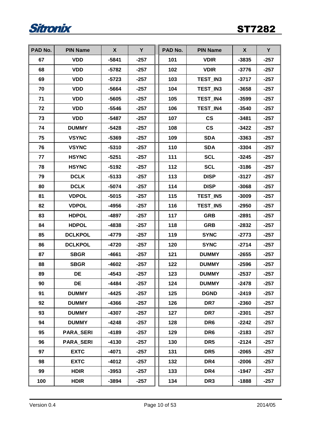

| PAD No. | <b>PIN Name</b>  | $\mathsf{X}$ | Y      | PAD No. | <b>PIN Name</b>          | $\boldsymbol{X}$ | Y      |
|---------|------------------|--------------|--------|---------|--------------------------|------------------|--------|
| 67      | <b>VDD</b>       | $-5841$      | $-257$ | 101     | <b>VDIR</b>              | $-3835$          | $-257$ |
| 68      | <b>VDD</b>       | $-5782$      | $-257$ | 102     | <b>VDIR</b>              | $-3776$          | $-257$ |
| 69      | <b>VDD</b>       | $-5723$      | $-257$ | 103     | TEST IN3                 | $-3717$          | $-257$ |
| 70      | <b>VDD</b>       | $-5664$      | $-257$ | 104     | TEST_IN3                 | $-3658$          | $-257$ |
| 71      | <b>VDD</b>       | $-5605$      | $-257$ | 105     | TEST_IN4                 | $-3599$          | $-257$ |
| 72      | <b>VDD</b>       | $-5546$      | $-257$ | 106     | TEST_IN4                 | $-3540$          | $-257$ |
| 73      | <b>VDD</b>       | $-5487$      | $-257$ | 107     | $\mathsf{CS}\phantom{0}$ | $-3481$          | $-257$ |
| 74      | <b>DUMMY</b>     | $-5428$      | $-257$ | 108     | $\mathsf{CS}\phantom{0}$ | $-3422$          | $-257$ |
| 75      | <b>VSYNC</b>     | $-5369$      | $-257$ | 109     | <b>SDA</b>               | $-3363$          | $-257$ |
| 76      | <b>VSYNC</b>     | $-5310$      | $-257$ | 110     | <b>SDA</b>               | $-3304$          | $-257$ |
| 77      | <b>HSYNC</b>     | $-5251$      | $-257$ | 111     | <b>SCL</b>               | $-3245$          | $-257$ |
| 78      | <b>HSYNC</b>     | $-5192$      | $-257$ | 112     | <b>SCL</b>               | $-3186$          | $-257$ |
| 79      | <b>DCLK</b>      | $-5133$      | $-257$ | 113     | <b>DISP</b>              | $-3127$          | $-257$ |
| 80      | <b>DCLK</b>      | $-5074$      | $-257$ | 114     | <b>DISP</b>              | $-3068$          | $-257$ |
| 81      | <b>VDPOL</b>     | $-5015$      | $-257$ | 115     | TEST_IN5                 | $-3009$          | $-257$ |
| 82      | <b>VDPOL</b>     | $-4956$      | $-257$ | 116     | TEST_IN5                 | $-2950$          | $-257$ |
| 83      | <b>HDPOL</b>     | $-4897$      | $-257$ | 117     | <b>GRB</b>               | $-2891$          | $-257$ |
| 84      | <b>HDPOL</b>     | $-4838$      | $-257$ | 118     | <b>GRB</b>               | $-2832$          | $-257$ |
| 85      | <b>DCLKPOL</b>   | $-4779$      | $-257$ | 119     | <b>SYNC</b>              | $-2773$          | $-257$ |
| 86      | <b>DCLKPOL</b>   | $-4720$      | $-257$ | 120     | <b>SYNC</b>              | $-2714$          | $-257$ |
| 87      | <b>SBGR</b>      | $-4661$      | $-257$ | 121     | <b>DUMMY</b>             | $-2655$          | $-257$ |
| 88      | <b>SBGR</b>      | $-4602$      | $-257$ | 122     | <b>DUMMY</b>             | $-2596$          | $-257$ |
| 89      | DE               | $-4543$      | $-257$ | 123     | <b>DUMMY</b>             | $-2537$          | $-257$ |
| 90      | DE               | -4484        | $-257$ | 124     | <b>DUMMY</b>             | $-2478$          | $-257$ |
| 91      | <b>DUMMY</b>     | -4425        | $-257$ | 125     | <b>DGND</b>              | $-2419$          | $-257$ |
| 92      | <b>DUMMY</b>     | -4366        | $-257$ | 126     | DR7                      | $-2360$          | $-257$ |
| 93      | <b>DUMMY</b>     | $-4307$      | $-257$ | 127     | DR7                      | $-2301$          | $-257$ |
| 94      | <b>DUMMY</b>     | -4248        | $-257$ | 128     | DR6                      | $-2242$          | $-257$ |
| 95      | <b>PARA_SERI</b> | $-4189$      | $-257$ | 129     | DR <sub>6</sub>          | $-2183$          | $-257$ |
| 96      | <b>PARA_SERI</b> | $-4130$      | $-257$ | 130     | DR <sub>5</sub>          | $-2124$          | $-257$ |
| 97      | <b>EXTC</b>      | $-4071$      | $-257$ | 131     | DR <sub>5</sub>          | $-2065$          | $-257$ |
| 98      | <b>EXTC</b>      | $-4012$      | $-257$ | 132     | DR4                      | $-2006$          | $-257$ |
| 99      | <b>HDIR</b>      | $-3953$      | $-257$ | 133     | DR4                      | $-1947$          | $-257$ |
| 100     | <b>HDIR</b>      | $-3894$      | $-257$ | 134     | DR <sub>3</sub>          | $-1888$          | $-257$ |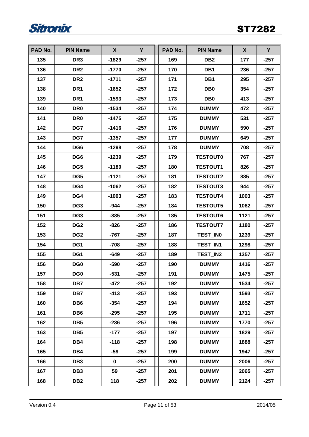

| PAD No. | <b>PIN Name</b> | X           | Y      | PAD No. | <b>PIN Name</b> | X    | Y      |
|---------|-----------------|-------------|--------|---------|-----------------|------|--------|
| 135     | DR <sub>3</sub> | $-1829$     | $-257$ | 169     | DB <sub>2</sub> | 177  | $-257$ |
| 136     | DR <sub>2</sub> | $-1770$     | $-257$ | 170     | DB <sub>1</sub> | 236  | $-257$ |
| 137     | DR <sub>2</sub> | $-1711$     | $-257$ | 171     | DB <sub>1</sub> | 295  | $-257$ |
| 138     | DR <sub>1</sub> | -1652       | $-257$ | 172     | DB <sub>0</sub> | 354  | $-257$ |
| 139     | DR <sub>1</sub> | $-1593$     | $-257$ | 173     | DB <sub>0</sub> | 413  | $-257$ |
| 140     | DR <sub>0</sub> | $-1534$     | $-257$ | 174     | <b>DUMMY</b>    | 472  | $-257$ |
| 141     | DR <sub>0</sub> | $-1475$     | $-257$ | 175     | <b>DUMMY</b>    | 531  | $-257$ |
| 142     | DG7             | $-1416$     | $-257$ | 176     | <b>DUMMY</b>    | 590  | $-257$ |
| 143     | DG7             | $-1357$     | $-257$ | 177     | <b>DUMMY</b>    | 649  | $-257$ |
| 144     | DG <sub>6</sub> | $-1298$     | $-257$ | 178     | <b>DUMMY</b>    | 708  | $-257$ |
| 145     | DG <sub>6</sub> | $-1239$     | $-257$ | 179     | <b>TESTOUT0</b> | 767  | $-257$ |
| 146     | DG <sub>5</sub> | $-1180$     | $-257$ | 180     | <b>TESTOUT1</b> | 826  | $-257$ |
| 147     | DG5             | $-1121$     | $-257$ | 181     | <b>TESTOUT2</b> | 885  | $-257$ |
| 148     | DG4             | $-1062$     | $-257$ | 182     | <b>TESTOUT3</b> | 944  | $-257$ |
| 149     | DG4             | $-1003$     | $-257$ | 183     | <b>TESTOUT4</b> | 1003 | $-257$ |
| 150     | DG <sub>3</sub> | $-944$      | $-257$ | 184     | <b>TESTOUT5</b> | 1062 | $-257$ |
| 151     | DG <sub>3</sub> | $-885$      | $-257$ | 185     | <b>TESTOUT6</b> | 1121 | $-257$ |
| 152     | DG <sub>2</sub> | $-826$      | $-257$ | 186     | <b>TESTOUT7</b> | 1180 | $-257$ |
| 153     | DG <sub>2</sub> | $-767$      | $-257$ | 187     | TEST_IN0        | 1239 | $-257$ |
| 154     | DG1             | $-708$      | $-257$ | 188     | TEST_IN1        | 1298 | $-257$ |
| 155     | DG1             | $-649$      | $-257$ | 189     | TEST_IN2        | 1357 | $-257$ |
| 156     | DG <sub>0</sub> | $-590$      | $-257$ | 190     | <b>DUMMY</b>    | 1416 | $-257$ |
| 157     | DG <sub>0</sub> | $-531$      | $-257$ | 191     | <b>DUMMY</b>    | 1475 | $-257$ |
| 158     | DB7             | $-472$      | $-257$ | 192     | <b>DUMMY</b>    | 1534 | $-257$ |
| 159     | DB7             | $-413$      | $-257$ | 193     | <b>DUMMY</b>    | 1593 | $-257$ |
| 160     | DB <sub>6</sub> | $-354$      | $-257$ | 194     | <b>DUMMY</b>    | 1652 | $-257$ |
| 161     | DB <sub>6</sub> | $-295$      | $-257$ | 195     | <b>DUMMY</b>    | 1711 | $-257$ |
| 162     | DB <sub>5</sub> | -236        | -257   | 196     | <b>DUMMY</b>    | 1770 | $-257$ |
| 163     | DB <sub>5</sub> | $-177$      | $-257$ | 197     | <b>DUMMY</b>    | 1829 | $-257$ |
| 164     | DB4             | $-118$      | $-257$ | 198     | <b>DUMMY</b>    | 1888 | $-257$ |
| 165     | DB4             | $-59$       | $-257$ | 199     | <b>DUMMY</b>    | 1947 | $-257$ |
| 166     | DB <sub>3</sub> | $\mathbf 0$ | $-257$ | 200     | <b>DUMMY</b>    | 2006 | $-257$ |
| 167     | DB <sub>3</sub> | 59          | $-257$ | 201     | <b>DUMMY</b>    | 2065 | $-257$ |
| 168     | DB <sub>2</sub> | 118         | $-257$ | 202     | <b>DUMMY</b>    | 2124 | $-257$ |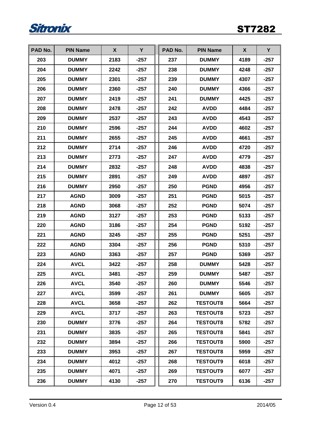

| PAD No. | <b>PIN Name</b> | X    | Y      | PAD No. | <b>PIN Name</b> | X    | Y      |
|---------|-----------------|------|--------|---------|-----------------|------|--------|
| 203     | <b>DUMMY</b>    | 2183 | $-257$ | 237     | <b>DUMMY</b>    | 4189 | $-257$ |
| 204     | <b>DUMMY</b>    | 2242 | -257   | 238     | <b>DUMMY</b>    | 4248 | $-257$ |
| 205     | <b>DUMMY</b>    | 2301 | $-257$ | 239     | <b>DUMMY</b>    | 4307 | $-257$ |
| 206     | <b>DUMMY</b>    | 2360 | $-257$ | 240     | <b>DUMMY</b>    | 4366 | $-257$ |
| 207     | <b>DUMMY</b>    | 2419 | $-257$ | 241     | <b>DUMMY</b>    | 4425 | $-257$ |
| 208     | <b>DUMMY</b>    | 2478 | $-257$ | 242     | <b>AVDD</b>     | 4484 | $-257$ |
| 209     | <b>DUMMY</b>    | 2537 | $-257$ | 243     | <b>AVDD</b>     | 4543 | $-257$ |
| 210     | <b>DUMMY</b>    | 2596 | $-257$ | 244     | <b>AVDD</b>     | 4602 | $-257$ |
| 211     | <b>DUMMY</b>    | 2655 | $-257$ | 245     | <b>AVDD</b>     | 4661 | $-257$ |
| 212     | <b>DUMMY</b>    | 2714 | $-257$ | 246     | <b>AVDD</b>     | 4720 | $-257$ |
| 213     | <b>DUMMY</b>    | 2773 | $-257$ | 247     | <b>AVDD</b>     | 4779 | $-257$ |
| 214     | <b>DUMMY</b>    | 2832 | $-257$ | 248     | <b>AVDD</b>     | 4838 | $-257$ |
| 215     | <b>DUMMY</b>    | 2891 | $-257$ | 249     | <b>AVDD</b>     | 4897 | $-257$ |
| 216     | <b>DUMMY</b>    | 2950 | $-257$ | 250     | <b>PGND</b>     | 4956 | $-257$ |
| 217     | <b>AGND</b>     | 3009 | $-257$ | 251     | <b>PGND</b>     | 5015 | $-257$ |
| 218     | <b>AGND</b>     | 3068 | $-257$ | 252     | <b>PGND</b>     | 5074 | $-257$ |
| 219     | <b>AGND</b>     | 3127 | $-257$ | 253     | <b>PGND</b>     | 5133 | $-257$ |
| 220     | <b>AGND</b>     | 3186 | $-257$ | 254     | <b>PGND</b>     | 5192 | $-257$ |
| 221     | <b>AGND</b>     | 3245 | $-257$ | 255     | <b>PGND</b>     | 5251 | $-257$ |
| 222     | <b>AGND</b>     | 3304 | $-257$ | 256     | <b>PGND</b>     | 5310 | $-257$ |
| 223     | <b>AGND</b>     | 3363 | $-257$ | 257     | <b>PGND</b>     | 5369 | $-257$ |
| 224     | <b>AVCL</b>     | 3422 | $-257$ | 258     | <b>DUMMY</b>    | 5428 | $-257$ |
| 225     | <b>AVCL</b>     | 3481 | $-257$ | 259     | <b>DUMMY</b>    | 5487 | $-257$ |
| 226     | <b>AVCL</b>     | 3540 | -257   | 260     | <b>DUMMY</b>    | 5546 | -257   |
| 227     | <b>AVCL</b>     | 3599 | $-257$ | 261     | <b>DUMMY</b>    | 5605 | $-257$ |
| 228     | <b>AVCL</b>     | 3658 | $-257$ | 262     | <b>TESTOUT8</b> | 5664 | $-257$ |
| 229     | <b>AVCL</b>     | 3717 | $-257$ | 263     | <b>TESTOUT8</b> | 5723 | $-257$ |
| 230     | <b>DUMMY</b>    | 3776 | $-257$ | 264     | <b>TESTOUT8</b> | 5782 | -257   |
| 231     | <b>DUMMY</b>    | 3835 | $-257$ | 265     | <b>TESTOUT8</b> | 5841 | $-257$ |
| 232     | <b>DUMMY</b>    | 3894 | $-257$ | 266     | <b>TESTOUT8</b> | 5900 | $-257$ |
| 233     | <b>DUMMY</b>    | 3953 | $-257$ | 267     | <b>TESTOUT8</b> | 5959 | $-257$ |
| 234     | <b>DUMMY</b>    | 4012 | $-257$ | 268     | <b>TESTOUT9</b> | 6018 | $-257$ |
| 235     | <b>DUMMY</b>    | 4071 | $-257$ | 269     | <b>TESTOUT9</b> | 6077 | $-257$ |
| 236     | <b>DUMMY</b>    | 4130 | $-257$ | 270     | <b>TESTOUT9</b> | 6136 | $-257$ |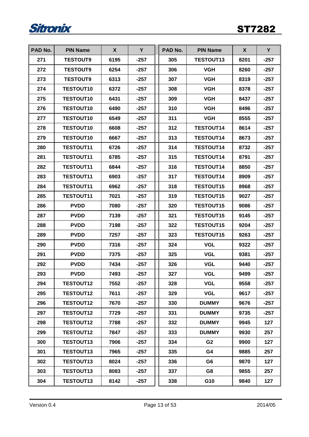

| PAD No. | <b>PIN Name</b>  | X    | Y      | PAD No. | <b>PIN Name</b>  | X    | Y      |
|---------|------------------|------|--------|---------|------------------|------|--------|
| 271     | <b>TESTOUT9</b>  | 6195 | $-257$ | 305     | <b>TESTOUT13</b> | 8201 | $-257$ |
| 272     | <b>TESTOUT9</b>  | 6254 | $-257$ | 306     | <b>VGH</b>       | 8260 | $-257$ |
| 273     | <b>TESTOUT9</b>  | 6313 | $-257$ | 307     | <b>VGH</b>       | 8319 | $-257$ |
| 274     | <b>TESTOUT10</b> | 6372 | $-257$ | 308     | <b>VGH</b>       | 8378 | $-257$ |
| 275     | <b>TESTOUT10</b> | 6431 | $-257$ | 309     | <b>VGH</b>       | 8437 | $-257$ |
| 276     | <b>TESTOUT10</b> | 6490 | $-257$ | 310     | <b>VGH</b>       | 8496 | $-257$ |
| 277     | <b>TESTOUT10</b> | 6549 | $-257$ | 311     | <b>VGH</b>       | 8555 | $-257$ |
| 278     | <b>TESTOUT10</b> | 6608 | $-257$ | 312     | <b>TESTOUT14</b> | 8614 | $-257$ |
| 279     | <b>TESTOUT10</b> | 6667 | $-257$ | 313     | <b>TESTOUT14</b> | 8673 | $-257$ |
| 280     | <b>TESTOUT11</b> | 6726 | $-257$ | 314     | <b>TESTOUT14</b> | 8732 | $-257$ |
| 281     | <b>TESTOUT11</b> | 6785 | $-257$ | 315     | <b>TESTOUT14</b> | 8791 | $-257$ |
| 282     | <b>TESTOUT11</b> | 6844 | $-257$ | 316     | <b>TESTOUT14</b> | 8850 | $-257$ |
| 283     | <b>TESTOUT11</b> | 6903 | $-257$ | 317     | <b>TESTOUT14</b> | 8909 | $-257$ |
| 284     | <b>TESTOUT11</b> | 6962 | $-257$ | 318     | <b>TESTOUT15</b> | 8968 | $-257$ |
| 285     | <b>TESTOUT11</b> | 7021 | $-257$ | 319     | <b>TESTOUT15</b> | 9027 | $-257$ |
| 286     | <b>PVDD</b>      | 7080 | $-257$ | 320     | <b>TESTOUT15</b> | 9086 | $-257$ |
| 287     | <b>PVDD</b>      | 7139 | $-257$ | 321     | <b>TESTOUT15</b> | 9145 | $-257$ |
| 288     | <b>PVDD</b>      | 7198 | $-257$ | 322     | <b>TESTOUT15</b> | 9204 | $-257$ |
| 289     | <b>PVDD</b>      | 7257 | $-257$ | 323     | <b>TESTOUT15</b> | 9263 | $-257$ |
| 290     | <b>PVDD</b>      | 7316 | $-257$ | 324     | <b>VGL</b>       | 9322 | $-257$ |
| 291     | <b>PVDD</b>      | 7375 | $-257$ | 325     | <b>VGL</b>       | 9381 | $-257$ |
| 292     | <b>PVDD</b>      | 7434 | $-257$ | 326     | <b>VGL</b>       | 9440 | $-257$ |
| 293     | <b>PVDD</b>      | 7493 | $-257$ | 327     | <b>VGL</b>       | 9499 | $-257$ |
| 294     | <b>TESTOUT12</b> | 7552 | $-257$ | 328     | <b>VGL</b>       | 9558 | $-257$ |
| 295     | <b>TESTOUT12</b> | 7611 | $-257$ | 329     | <b>VGL</b>       | 9617 | $-257$ |
| 296     | <b>TESTOUT12</b> | 7670 | $-257$ | 330     | <b>DUMMY</b>     | 9676 | $-257$ |
| 297     | <b>TESTOUT12</b> | 7729 | $-257$ | 331     | <b>DUMMY</b>     | 9735 | $-257$ |
| 298     | <b>TESTOUT12</b> | 7788 | $-257$ | 332     | <b>DUMMY</b>     | 9945 | 127    |
| 299     | <b>TESTOUT12</b> | 7847 | $-257$ | 333     | <b>DUMMY</b>     | 9930 | 257    |
| 300     | <b>TESTOUT13</b> | 7906 | $-257$ | 334     | G <sub>2</sub>   | 9900 | 127    |
| 301     | <b>TESTOUT13</b> | 7965 | $-257$ | 335     | G4               | 9885 | 257    |
| 302     | <b>TESTOUT13</b> | 8024 | $-257$ | 336     | G6               | 9870 | 127    |
| 303     | <b>TESTOUT13</b> | 8083 | $-257$ | 337     | G8               | 9855 | 257    |
| 304     | <b>TESTOUT13</b> | 8142 | $-257$ | 338     | G10              | 9840 | 127    |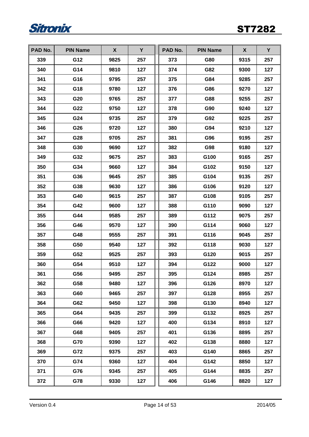

| PAD No. | <b>PIN Name</b> | X    | Y   | PAD No. | <b>PIN Name</b> | X    | Y   |
|---------|-----------------|------|-----|---------|-----------------|------|-----|
| 339     | G12             | 9825 | 257 | 373     | G80             | 9315 | 257 |
| 340     | G14             | 9810 | 127 | 374     | G82             | 9300 | 127 |
| 341     | G16             | 9795 | 257 | 375     | G84             | 9285 | 257 |
| 342     | G18             | 9780 | 127 | 376     | G86             | 9270 | 127 |
| 343     | G20             | 9765 | 257 | 377     | G88             | 9255 | 257 |
| 344     | G22             | 9750 | 127 | 378     | G90             | 9240 | 127 |
| 345     | G24             | 9735 | 257 | 379     | G92             | 9225 | 257 |
| 346     | G26             | 9720 | 127 | 380     | G94             | 9210 | 127 |
| 347     | G28             | 9705 | 257 | 381     | G96             | 9195 | 257 |
| 348     | G30             | 9690 | 127 | 382     | G98             | 9180 | 127 |
| 349     | G32             | 9675 | 257 | 383     | G100            | 9165 | 257 |
| 350     | G34             | 9660 | 127 | 384     | G102            | 9150 | 127 |
| 351     | G36             | 9645 | 257 | 385     | G104            | 9135 | 257 |
| 352     | G38             | 9630 | 127 | 386     | G106            | 9120 | 127 |
| 353     | G40             | 9615 | 257 | 387     | G108            | 9105 | 257 |
| 354     | G42             | 9600 | 127 | 388     | G110            | 9090 | 127 |
| 355     | G44             | 9585 | 257 | 389     | G112            | 9075 | 257 |
| 356     | G46             | 9570 | 127 | 390     | G114            | 9060 | 127 |
| 357     | G48             | 9555 | 257 | 391     | G116            | 9045 | 257 |
| 358     | G50             | 9540 | 127 | 392     | G118            | 9030 | 127 |
| 359     | G52             | 9525 | 257 | 393     | G120            | 9015 | 257 |
| 360     | G54             | 9510 | 127 | 394     | G122            | 9000 | 127 |
| 361     | G56             | 9495 | 257 | 395     | G124            | 8985 | 257 |
| 362     | G58             | 9480 | 127 | 396     | G126            | 8970 | 127 |
| 363     | G60             | 9465 | 257 | 397     | G128            | 8955 | 257 |
| 364     | G62             | 9450 | 127 | 398     | G130            | 8940 | 127 |
| 365     | G64             | 9435 | 257 | 399     | G132            | 8925 | 257 |
| 366     | G66             | 9420 | 127 | 400     | G134            | 8910 | 127 |
| 367     | G68             | 9405 | 257 | 401     | G136            | 8895 | 257 |
| 368     | G70             | 9390 | 127 | 402     | G138            | 8880 | 127 |
| 369     | G72             | 9375 | 257 | 403     | G140            | 8865 | 257 |
| 370     | G74             | 9360 | 127 | 404     | G142            | 8850 | 127 |
| 371     | G76             | 9345 | 257 | 405     | G144            | 8835 | 257 |
| 372     | G78             | 9330 | 127 | 406     | G146            | 8820 | 127 |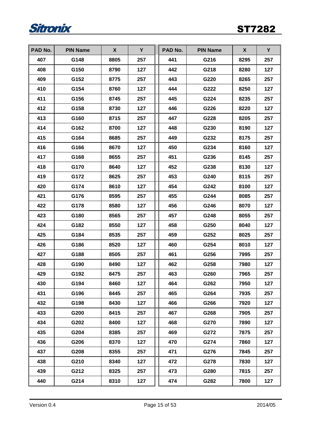

| PAD No. | <b>PIN Name</b> | X    | Y   | PAD No. | <b>PIN Name</b> | X    | Y   |
|---------|-----------------|------|-----|---------|-----------------|------|-----|
| 407     | G148            | 8805 | 257 | 441     | G216            | 8295 | 257 |
| 408     | G150            | 8790 | 127 | 442     | G218            | 8280 | 127 |
| 409     | G152            | 8775 | 257 | 443     | G220            | 8265 | 257 |
| 410     | G154            | 8760 | 127 | 444     | G222            | 8250 | 127 |
| 411     | G156            | 8745 | 257 | 445     | G224            | 8235 | 257 |
| 412     | G158            | 8730 | 127 | 446     | G226            | 8220 | 127 |
| 413     | G160            | 8715 | 257 | 447     | G228            | 8205 | 257 |
| 414     | G162            | 8700 | 127 | 448     | G230            | 8190 | 127 |
| 415     | G164            | 8685 | 257 | 449     | G232            | 8175 | 257 |
| 416     | G166            | 8670 | 127 | 450     | G234            | 8160 | 127 |
| 417     | G168            | 8655 | 257 | 451     | G236            | 8145 | 257 |
| 418     | G170            | 8640 | 127 | 452     | G238            | 8130 | 127 |
| 419     | G172            | 8625 | 257 | 453     | G240            | 8115 | 257 |
| 420     | G174            | 8610 | 127 | 454     | G242            | 8100 | 127 |
| 421     | G176            | 8595 | 257 | 455     | G244            | 8085 | 257 |
| 422     | G178            | 8580 | 127 | 456     | G246            | 8070 | 127 |
| 423     | G180            | 8565 | 257 | 457     | G248            | 8055 | 257 |
| 424     | G182            | 8550 | 127 | 458     | G250            | 8040 | 127 |
| 425     | G184            | 8535 | 257 | 459     | G252            | 8025 | 257 |
| 426     | G186            | 8520 | 127 | 460     | G254            | 8010 | 127 |
| 427     | G188            | 8505 | 257 | 461     | G256            | 7995 | 257 |
| 428     | G190            | 8490 | 127 | 462     | G258            | 7980 | 127 |
| 429     | G192            | 8475 | 257 | 463     | G260            | 7965 | 257 |
| 430     | G194            | 8460 | 127 | 464     | G262            | 7950 | 127 |
| 431     | G196            | 8445 | 257 | 465     | G264            | 7935 | 257 |
| 432     | G198            | 8430 | 127 | 466     | G266            | 7920 | 127 |
| 433     | G200            | 8415 | 257 | 467     | G268            | 7905 | 257 |
| 434     | G202            | 8400 | 127 | 468     | G270            | 7890 | 127 |
| 435     | G204            | 8385 | 257 | 469     | G272            | 7875 | 257 |
| 436     | G206            | 8370 | 127 | 470     | G274            | 7860 | 127 |
| 437     | G208            | 8355 | 257 | 471     | G276            | 7845 | 257 |
| 438     | G210            | 8340 | 127 | 472     | G278            | 7830 | 127 |
| 439     | G212            | 8325 | 257 | 473     | G280            | 7815 | 257 |
| 440     | G214            | 8310 | 127 | 474     | G282            | 7800 | 127 |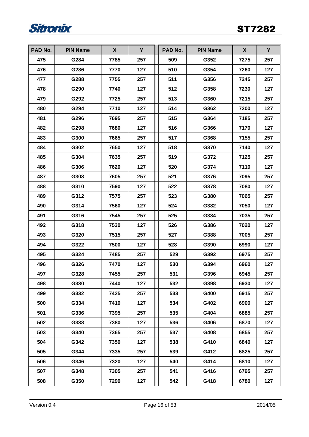

| PAD No. | <b>PIN Name</b> | X    | Y   | PAD No. | <b>PIN Name</b> | X    | Y   |
|---------|-----------------|------|-----|---------|-----------------|------|-----|
| 475     | G284            | 7785 | 257 | 509     | G352            | 7275 | 257 |
| 476     | G286            | 7770 | 127 | 510     | G354            | 7260 | 127 |
| 477     | G288            | 7755 | 257 | 511     | G356            | 7245 | 257 |
| 478     | G290            | 7740 | 127 | 512     | G358            | 7230 | 127 |
| 479     | G292            | 7725 | 257 | 513     | G360            | 7215 | 257 |
| 480     | G294            | 7710 | 127 | 514     | G362            | 7200 | 127 |
| 481     | G296            | 7695 | 257 | 515     | G364            | 7185 | 257 |
| 482     | G298            | 7680 | 127 | 516     | G366            | 7170 | 127 |
| 483     | G300            | 7665 | 257 | 517     | G368            | 7155 | 257 |
| 484     | G302            | 7650 | 127 | 518     | G370            | 7140 | 127 |
| 485     | G304            | 7635 | 257 | 519     | G372            | 7125 | 257 |
| 486     | G306            | 7620 | 127 | 520     | G374            | 7110 | 127 |
| 487     | G308            | 7605 | 257 | 521     | G376            | 7095 | 257 |
| 488     | G310            | 7590 | 127 | 522     | G378            | 7080 | 127 |
| 489     | G312            | 7575 | 257 | 523     | G380            | 7065 | 257 |
| 490     | G314            | 7560 | 127 | 524     | G382            | 7050 | 127 |
| 491     | G316            | 7545 | 257 | 525     | G384            | 7035 | 257 |
| 492     | G318            | 7530 | 127 | 526     | G386            | 7020 | 127 |
| 493     | G320            | 7515 | 257 | 527     | G388            | 7005 | 257 |
| 494     | G322            | 7500 | 127 | 528     | G390            | 6990 | 127 |
| 495     | G324            | 7485 | 257 | 529     | G392            | 6975 | 257 |
| 496     | G326            | 7470 | 127 | 530     | G394            | 6960 | 127 |
| 497     | G328            | 7455 | 257 | 531     | G396            | 6945 | 257 |
| 498     | G330            | 7440 | 127 | 532     | G398            | 6930 | 127 |
| 499     | G332            | 7425 | 257 | 533     | G400            | 6915 | 257 |
| 500     | G334            | 7410 | 127 | 534     | G402            | 6900 | 127 |
| 501     | G336            | 7395 | 257 | 535     | G404            | 6885 | 257 |
| 502     | G338            | 7380 | 127 | 536     | G406            | 6870 | 127 |
| 503     | G340            | 7365 | 257 | 537     | G408            | 6855 | 257 |
| 504     | G342            | 7350 | 127 | 538     | G410            | 6840 | 127 |
| 505     | G344            | 7335 | 257 | 539     | G412            | 6825 | 257 |
| 506     | G346            | 7320 | 127 | 540     | G414            | 6810 | 127 |
| 507     | G348            | 7305 | 257 | 541     | G416            | 6795 | 257 |
| 508     | G350            | 7290 | 127 | 542     | G418            | 6780 | 127 |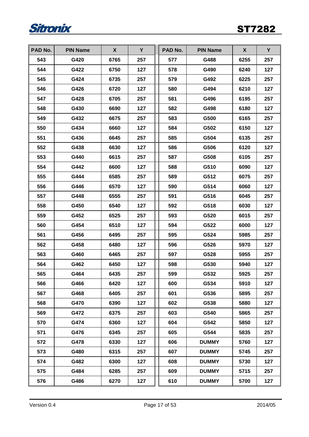

| PAD No. | <b>PIN Name</b> | X    | Y   | PAD No. | <b>PIN Name</b> | X    | Y   |
|---------|-----------------|------|-----|---------|-----------------|------|-----|
| 543     | G420            | 6765 | 257 | 577     | G488            | 6255 | 257 |
| 544     | G422            | 6750 | 127 | 578     | G490            | 6240 | 127 |
| 545     | G424            | 6735 | 257 | 579     | G492            | 6225 | 257 |
| 546     | G426            | 6720 | 127 | 580     | G494            | 6210 | 127 |
| 547     | G428            | 6705 | 257 | 581     | G496            | 6195 | 257 |
| 548     | G430            | 6690 | 127 | 582     | G498            | 6180 | 127 |
| 549     | G432            | 6675 | 257 | 583     | G500            | 6165 | 257 |
| 550     | G434            | 6660 | 127 | 584     | G502            | 6150 | 127 |
| 551     | G436            | 6645 | 257 | 585     | G504            | 6135 | 257 |
| 552     | G438            | 6630 | 127 | 586     | G506            | 6120 | 127 |
| 553     | G440            | 6615 | 257 | 587     | G508            | 6105 | 257 |
| 554     | G442            | 6600 | 127 | 588     | G510            | 6090 | 127 |
| 555     | G444            | 6585 | 257 | 589     | G512            | 6075 | 257 |
| 556     | G446            | 6570 | 127 | 590     | G514            | 6060 | 127 |
| 557     | G448            | 6555 | 257 | 591     | G516            | 6045 | 257 |
| 558     | G450            | 6540 | 127 | 592     | G518            | 6030 | 127 |
| 559     | G452            | 6525 | 257 | 593     | G520            | 6015 | 257 |
| 560     | G454            | 6510 | 127 | 594     | G522            | 6000 | 127 |
| 561     | G456            | 6495 | 257 | 595     | G524            | 5985 | 257 |
| 562     | G458            | 6480 | 127 | 596     | G526            | 5970 | 127 |
| 563     | G460            | 6465 | 257 | 597     | G528            | 5955 | 257 |
| 564     | G462            | 6450 | 127 | 598     | G530            | 5940 | 127 |
| 565     | G464            | 6435 | 257 | 599     | G532            | 5925 | 257 |
| 566     | G466            | 6420 | 127 | 600     | G534            | 5910 | 127 |
| 567     | G468            | 6405 | 257 | 601     | G536            | 5895 | 257 |
| 568     | G470            | 6390 | 127 | 602     | G538            | 5880 | 127 |
| 569     | G472            | 6375 | 257 | 603     | G540            | 5865 | 257 |
| 570     | G474            | 6360 | 127 | 604     | G542            | 5850 | 127 |
| 571     | G476            | 6345 | 257 | 605     | G544            | 5835 | 257 |
| 572     | G478            | 6330 | 127 | 606     | <b>DUMMY</b>    | 5760 | 127 |
| 573     | G480            | 6315 | 257 | 607     | <b>DUMMY</b>    | 5745 | 257 |
| 574     | G482            | 6300 | 127 | 608     | <b>DUMMY</b>    | 5730 | 127 |
| 575     | G484            | 6285 | 257 | 609     | <b>DUMMY</b>    | 5715 | 257 |
| 576     | G486            | 6270 | 127 | 610     | <b>DUMMY</b>    | 5700 | 127 |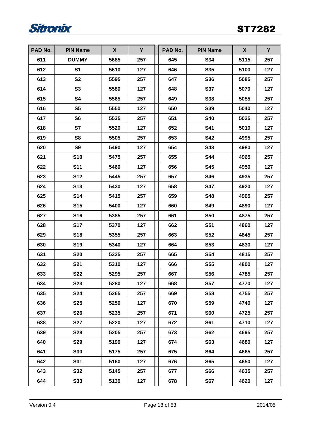

| PAD No. | <b>PIN Name</b> | X    | Y   | PAD No. | <b>PIN Name</b> | X    | Y   |
|---------|-----------------|------|-----|---------|-----------------|------|-----|
| 611     | <b>DUMMY</b>    | 5685 | 257 | 645     | S34             | 5115 | 257 |
| 612     | S <sub>1</sub>  | 5610 | 127 | 646     | <b>S35</b>      | 5100 | 127 |
| 613     | <b>S2</b>       | 5595 | 257 | 647     | <b>S36</b>      | 5085 | 257 |
| 614     | S <sub>3</sub>  | 5580 | 127 | 648     | <b>S37</b>      | 5070 | 127 |
| 615     | S4              | 5565 | 257 | 649     | <b>S38</b>      | 5055 | 257 |
| 616     | S <sub>5</sub>  | 5550 | 127 | 650     | <b>S39</b>      | 5040 | 127 |
| 617     | S <sub>6</sub>  | 5535 | 257 | 651     | <b>S40</b>      | 5025 | 257 |
| 618     | S7              | 5520 | 127 | 652     | <b>S41</b>      | 5010 | 127 |
| 619     | S8              | 5505 | 257 | 653     | <b>S42</b>      | 4995 | 257 |
| 620     | S9              | 5490 | 127 | 654     | <b>S43</b>      | 4980 | 127 |
| 621     | <b>S10</b>      | 5475 | 257 | 655     | <b>S44</b>      | 4965 | 257 |
| 622     | <b>S11</b>      | 5460 | 127 | 656     | <b>S45</b>      | 4950 | 127 |
| 623     | <b>S12</b>      | 5445 | 257 | 657     | <b>S46</b>      | 4935 | 257 |
| 624     | S <sub>13</sub> | 5430 | 127 | 658     | <b>S47</b>      | 4920 | 127 |
| 625     | <b>S14</b>      | 5415 | 257 | 659     | <b>S48</b>      | 4905 | 257 |
| 626     | <b>S15</b>      | 5400 | 127 | 660     | <b>S49</b>      | 4890 | 127 |
| 627     | <b>S16</b>      | 5385 | 257 | 661     | <b>S50</b>      | 4875 | 257 |
| 628     | <b>S17</b>      | 5370 | 127 | 662     | <b>S51</b>      | 4860 | 127 |
| 629     | <b>S18</b>      | 5355 | 257 | 663     | <b>S52</b>      | 4845 | 257 |
| 630     | <b>S19</b>      | 5340 | 127 | 664     | S53             | 4830 | 127 |
| 631     | <b>S20</b>      | 5325 | 257 | 665     | <b>S54</b>      | 4815 | 257 |
| 632     | <b>S21</b>      | 5310 | 127 | 666     | <b>S55</b>      | 4800 | 127 |
| 633     | <b>S22</b>      | 5295 | 257 | 667     | <b>S56</b>      | 4785 | 257 |
| 634     | <b>S23</b>      | 5280 | 127 | 668     | <b>S57</b>      | 4770 | 127 |
| 635     | <b>S24</b>      | 5265 | 257 | 669     | <b>S58</b>      | 4755 | 257 |
| 636     | <b>S25</b>      | 5250 | 127 | 670     | <b>S59</b>      | 4740 | 127 |
| 637     | <b>S26</b>      | 5235 | 257 | 671     | <b>S60</b>      | 4725 | 257 |
| 638     | <b>S27</b>      | 5220 | 127 | 672     | S61             | 4710 | 127 |
| 639     | <b>S28</b>      | 5205 | 257 | 673     | <b>S62</b>      | 4695 | 257 |
| 640     | <b>S29</b>      | 5190 | 127 | 674     | <b>S63</b>      | 4680 | 127 |
| 641     | <b>S30</b>      | 5175 | 257 | 675     | <b>S64</b>      | 4665 | 257 |
| 642     | <b>S31</b>      | 5160 | 127 | 676     | <b>S65</b>      | 4650 | 127 |
| 643     | <b>S32</b>      | 5145 | 257 | 677     | <b>S66</b>      | 4635 | 257 |
| 644     | <b>S33</b>      | 5130 | 127 | 678     | <b>S67</b>      | 4620 | 127 |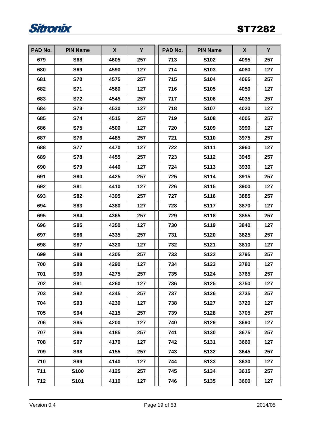

| PAD No. | <b>PIN Name</b> | X    | Y   | PAD No. | <b>PIN Name</b> | X    | Y   |
|---------|-----------------|------|-----|---------|-----------------|------|-----|
| 679     | <b>S68</b>      | 4605 | 257 | 713     | <b>S102</b>     | 4095 | 257 |
| 680     | <b>S69</b>      | 4590 | 127 | 714     | S103            | 4080 | 127 |
| 681     | <b>S70</b>      | 4575 | 257 | 715     | S104            | 4065 | 257 |
| 682     | S71             | 4560 | 127 | 716     | S105            | 4050 | 127 |
| 683     | <b>S72</b>      | 4545 | 257 | 717     | S106            | 4035 | 257 |
| 684     | S73             | 4530 | 127 | 718     | <b>S107</b>     | 4020 | 127 |
| 685     | <b>S74</b>      | 4515 | 257 | 719     | S108            | 4005 | 257 |
| 686     | <b>S75</b>      | 4500 | 127 | 720     | S109            | 3990 | 127 |
| 687     | <b>S76</b>      | 4485 | 257 | 721     | S110            | 3975 | 257 |
| 688     | <b>S77</b>      | 4470 | 127 | 722     | S111            | 3960 | 127 |
| 689     | <b>S78</b>      | 4455 | 257 | 723     | <b>S112</b>     | 3945 | 257 |
| 690     | <b>S79</b>      | 4440 | 127 | 724     | S113            | 3930 | 127 |
| 691     | <b>S80</b>      | 4425 | 257 | 725     | S114            | 3915 | 257 |
| 692     | <b>S81</b>      | 4410 | 127 | 726     | S115            | 3900 | 127 |
| 693     | <b>S82</b>      | 4395 | 257 | 727     | S116            | 3885 | 257 |
| 694     | <b>S83</b>      | 4380 | 127 | 728     | <b>S117</b>     | 3870 | 127 |
| 695     | <b>S84</b>      | 4365 | 257 | 729     | S118            | 3855 | 257 |
| 696     | <b>S85</b>      | 4350 | 127 | 730     | S119            | 3840 | 127 |
| 697     | <b>S86</b>      | 4335 | 257 | 731     | <b>S120</b>     | 3825 | 257 |
| 698     | <b>S87</b>      | 4320 | 127 | 732     | S121            | 3810 | 127 |
| 699     | <b>S88</b>      | 4305 | 257 | 733     | S122            | 3795 | 257 |
| 700     | <b>S89</b>      | 4290 | 127 | 734     | S123            | 3780 | 127 |
| 701     | <b>S90</b>      | 4275 | 257 | 735     | S124            | 3765 | 257 |
| 702     | <b>S91</b>      | 4260 | 127 | 736     | <b>S125</b>     | 3750 | 127 |
| 703     | <b>S92</b>      | 4245 | 257 | 737     | S126            | 3735 | 257 |
| 704     | <b>S93</b>      | 4230 | 127 | 738     | <b>S127</b>     | 3720 | 127 |
| 705     | <b>S94</b>      | 4215 | 257 | 739     | S128            | 3705 | 257 |
| 706     | <b>S95</b>      | 4200 | 127 | 740     | S129            | 3690 | 127 |
| 707     | <b>S96</b>      | 4185 | 257 | 741     | S130            | 3675 | 257 |
| 708     | <b>S97</b>      | 4170 | 127 | 742     | S131            | 3660 | 127 |
| 709     | <b>S98</b>      | 4155 | 257 | 743     | S132            | 3645 | 257 |
| 710     | <b>S99</b>      | 4140 | 127 | 744     | S133            | 3630 | 127 |
| 711     | S100            | 4125 | 257 | 745     | S134            | 3615 | 257 |
| 712     | S101            | 4110 | 127 | 746     | S135            | 3600 | 127 |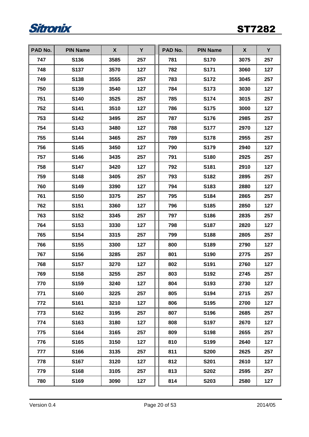

| PAD No. | <b>PIN Name</b>  | X    | Y   | PAD No. | <b>PIN Name</b> | X    | Y   |
|---------|------------------|------|-----|---------|-----------------|------|-----|
| 747     | S136             | 3585 | 257 | 781     | <b>S170</b>     | 3075 | 257 |
| 748     | S137             | 3570 | 127 | 782     | S171            | 3060 | 127 |
| 749     | S138             | 3555 | 257 | 783     | <b>S172</b>     | 3045 | 257 |
| 750     | S139             | 3540 | 127 | 784     | S173            | 3030 | 127 |
| 751     | S140             | 3525 | 257 | 785     | <b>S174</b>     | 3015 | 257 |
| 752     | S141             | 3510 | 127 | 786     | <b>S175</b>     | 3000 | 127 |
| 753     | S142             | 3495 | 257 | 787     | S176            | 2985 | 257 |
| 754     | S143             | 3480 | 127 | 788     | <b>S177</b>     | 2970 | 127 |
| 755     | S144             | 3465 | 257 | 789     | <b>S178</b>     | 2955 | 257 |
| 756     | S145             | 3450 | 127 | 790     | S179            | 2940 | 127 |
| 757     | S146             | 3435 | 257 | 791     | S180            | 2925 | 257 |
| 758     | <b>S147</b>      | 3420 | 127 | 792     | S181            | 2910 | 127 |
| 759     | S148             | 3405 | 257 | 793     | S182            | 2895 | 257 |
| 760     | S149             | 3390 | 127 | 794     | S183            | 2880 | 127 |
| 761     | S150             | 3375 | 257 | 795     | S184            | 2865 | 257 |
| 762     | S151             | 3360 | 127 | 796     | S185            | 2850 | 127 |
| 763     | S152             | 3345 | 257 | 797     | S186            | 2835 | 257 |
| 764     | S153             | 3330 | 127 | 798     | S187            | 2820 | 127 |
| 765     | S154             | 3315 | 257 | 799     | S188            | 2805 | 257 |
| 766     | S <sub>155</sub> | 3300 | 127 | 800     | S189            | 2790 | 127 |
| 767     | S156             | 3285 | 257 | 801     | S190            | 2775 | 257 |
| 768     | S <sub>157</sub> | 3270 | 127 | 802     | S191            | 2760 | 127 |
| 769     | S158             | 3255 | 257 | 803     | S192            | 2745 | 257 |
| 770     | S159             | 3240 | 127 | 804     | S193            | 2730 | 127 |
| 771     | S160             | 3225 | 257 | 805     | S194            | 2715 | 257 |
| 772     | S161             | 3210 | 127 | 806     | S195            | 2700 | 127 |
| 773     | S162             | 3195 | 257 | 807     | S196            | 2685 | 257 |
| 774     | S163             | 3180 | 127 | 808     | S197            | 2670 | 127 |
| 775     | S164             | 3165 | 257 | 809     | S198            | 2655 | 257 |
| 776     | S165             | 3150 | 127 | 810     | S199            | 2640 | 127 |
| 777     | S166             | 3135 | 257 | 811     | <b>S200</b>     | 2625 | 257 |
| 778     | S167             | 3120 | 127 | 812     | <b>S201</b>     | 2610 | 127 |
| 779     | S168             | 3105 | 257 | 813     | <b>S202</b>     | 2595 | 257 |
| 780     | S169             | 3090 | 127 | 814     | S203            | 2580 | 127 |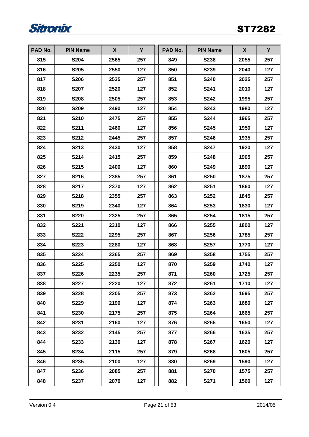

| PAD No. | <b>PIN Name</b> | X    | Y   | PAD No. | <b>PIN Name</b> | X    | Y   |
|---------|-----------------|------|-----|---------|-----------------|------|-----|
| 815     | <b>S204</b>     | 2565 | 257 | 849     | <b>S238</b>     | 2055 | 257 |
| 816     | <b>S205</b>     | 2550 | 127 | 850     | S239            | 2040 | 127 |
| 817     | <b>S206</b>     | 2535 | 257 | 851     | <b>S240</b>     | 2025 | 257 |
| 818     | <b>S207</b>     | 2520 | 127 | 852     | <b>S241</b>     | 2010 | 127 |
| 819     | <b>S208</b>     | 2505 | 257 | 853     | <b>S242</b>     | 1995 | 257 |
| 820     | <b>S209</b>     | 2490 | 127 | 854     | <b>S243</b>     | 1980 | 127 |
| 821     | S210            | 2475 | 257 | 855     | <b>S244</b>     | 1965 | 257 |
| 822     | S211            | 2460 | 127 | 856     | <b>S245</b>     | 1950 | 127 |
| 823     | S212            | 2445 | 257 | 857     | <b>S246</b>     | 1935 | 257 |
| 824     | S213            | 2430 | 127 | 858     | <b>S247</b>     | 1920 | 127 |
| 825     | S214            | 2415 | 257 | 859     | <b>S248</b>     | 1905 | 257 |
| 826     | S215            | 2400 | 127 | 860     | <b>S249</b>     | 1890 | 127 |
| 827     | S216            | 2385 | 257 | 861     | <b>S250</b>     | 1875 | 257 |
| 828     | <b>S217</b>     | 2370 | 127 | 862     | S251            | 1860 | 127 |
| 829     | S218            | 2355 | 257 | 863     | S252            | 1845 | 257 |
| 830     | S219            | 2340 | 127 | 864     | S253            | 1830 | 127 |
| 831     | <b>S220</b>     | 2325 | 257 | 865     | <b>S254</b>     | 1815 | 257 |
| 832     | <b>S221</b>     | 2310 | 127 | 866     | S255            | 1800 | 127 |
| 833     | <b>S222</b>     | 2295 | 257 | 867     | S256            | 1785 | 257 |
| 834     | <b>S223</b>     | 2280 | 127 | 868     | <b>S257</b>     | 1770 | 127 |
| 835     | <b>S224</b>     | 2265 | 257 | 869     | <b>S258</b>     | 1755 | 257 |
| 836     | <b>S225</b>     | 2250 | 127 | 870     | <b>S259</b>     | 1740 | 127 |
| 837     | S226            | 2235 | 257 | 871     | <b>S260</b>     | 1725 | 257 |
| 838     | <b>S227</b>     | 2220 | 127 | 872     | S261            | 1710 | 127 |
| 839     | <b>S228</b>     | 2205 | 257 | 873     | <b>S262</b>     | 1695 | 257 |
| 840     | <b>S229</b>     | 2190 | 127 | 874     | S263            | 1680 | 127 |
| 841     | <b>S230</b>     | 2175 | 257 | 875     | <b>S264</b>     | 1665 | 257 |
| 842     | S231            | 2160 | 127 | 876     | <b>S265</b>     | 1650 | 127 |
| 843     | S232            | 2145 | 257 | 877     | S266            | 1635 | 257 |
| 844     | S233            | 2130 | 127 | 878     | <b>S267</b>     | 1620 | 127 |
| 845     | S234            | 2115 | 257 | 879     | <b>S268</b>     | 1605 | 257 |
| 846     | S235            | 2100 | 127 | 880     | <b>S269</b>     | 1590 | 127 |
| 847     | S236            | 2085 | 257 | 881     | <b>S270</b>     | 1575 | 257 |
| 848     | <b>S237</b>     | 2070 | 127 | 882     | <b>S271</b>     | 1560 | 127 |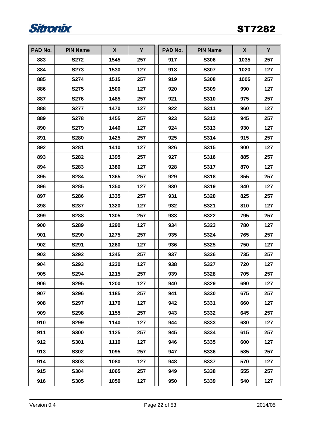

| PAD No. | <b>PIN Name</b> | X    | Y   | PAD No. | <b>PIN Name</b> | X    | Y   |
|---------|-----------------|------|-----|---------|-----------------|------|-----|
| 883     | <b>S272</b>     | 1545 | 257 | 917     | <b>S306</b>     | 1035 | 257 |
| 884     | S273            | 1530 | 127 | 918     | <b>S307</b>     | 1020 | 127 |
| 885     | S274            | 1515 | 257 | 919     | <b>S308</b>     | 1005 | 257 |
| 886     | <b>S275</b>     | 1500 | 127 | 920     | S309            | 990  | 127 |
| 887     | S276            | 1485 | 257 | 921     | S310            | 975  | 257 |
| 888     | <b>S277</b>     | 1470 | 127 | 922     | S311            | 960  | 127 |
| 889     | <b>S278</b>     | 1455 | 257 | 923     | S312            | 945  | 257 |
| 890     | S279            | 1440 | 127 | 924     | S313            | 930  | 127 |
| 891     | <b>S280</b>     | 1425 | 257 | 925     | S314            | 915  | 257 |
| 892     | S281            | 1410 | 127 | 926     | S315            | 900  | 127 |
| 893     | S282            | 1395 | 257 | 927     | S316            | 885  | 257 |
| 894     | S283            | 1380 | 127 | 928     | S317            | 870  | 127 |
| 895     | S284            | 1365 | 257 | 929     | S318            | 855  | 257 |
| 896     | S285            | 1350 | 127 | 930     | S319            | 840  | 127 |
| 897     | S286            | 1335 | 257 | 931     | S320            | 825  | 257 |
| 898     | <b>S287</b>     | 1320 | 127 | 932     | S321            | 810  | 127 |
| 899     | S288            | 1305 | 257 | 933     | S322            | 795  | 257 |
| 900     | S289            | 1290 | 127 | 934     | S323            | 780  | 127 |
| 901     | S290            | 1275 | 257 | 935     | S324            | 765  | 257 |
| 902     | S291            | 1260 | 127 | 936     | <b>S325</b>     | 750  | 127 |
| 903     | S292            | 1245 | 257 | 937     | S326            | 735  | 257 |
| 904     | S293            | 1230 | 127 | 938     | <b>S327</b>     | 720  | 127 |
| 905     | S294            | 1215 | 257 | 939     | <b>S328</b>     | 705  | 257 |
| 906     | <b>S295</b>     | 1200 | 127 | 940     | S329            | 690  | 127 |
| 907     | S296            | 1185 | 257 | 941     | S330            | 675  | 257 |
| 908     | S297            | 1170 | 127 | 942     | S331            | 660  | 127 |
| 909     | <b>S298</b>     | 1155 | 257 | 943     | S332            | 645  | 257 |
| 910     | S299            | 1140 | 127 | 944     | S333            | 630  | 127 |
| 911     | <b>S300</b>     | 1125 | 257 | 945     | S334            | 615  | 257 |
| 912     | S301            | 1110 | 127 | 946     | S335            | 600  | 127 |
| 913     | S302            | 1095 | 257 | 947     | S336            | 585  | 257 |
| 914     | S303            | 1080 | 127 | 948     | S337            | 570  | 127 |
| 915     | S304            | 1065 | 257 | 949     | S338            | 555  | 257 |
| 916     | S305            | 1050 | 127 | 950     | S339            | 540  | 127 |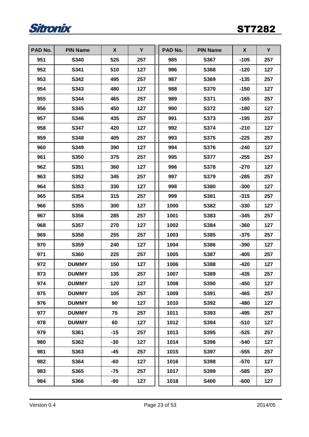

| PAD No. | <b>PIN Name</b> | X     | Y   | PAD No. | <b>PIN Name</b> | X      | Y   |
|---------|-----------------|-------|-----|---------|-----------------|--------|-----|
| 951     | S340            | 525   | 257 | 985     | S367            | $-105$ | 257 |
| 952     | S341            | 510   | 127 | 986     | S368            | $-120$ | 127 |
| 953     | S342            | 495   | 257 | 987     | S369            | $-135$ | 257 |
| 954     | S343            | 480   | 127 | 988     | <b>S370</b>     | $-150$ | 127 |
| 955     | S344            | 465   | 257 | 989     | S371            | $-165$ | 257 |
| 956     | S345            | 450   | 127 | 990     | S372            | $-180$ | 127 |
| 957     | S346            | 435   | 257 | 991     | S373            | $-195$ | 257 |
| 958     | S347            | 420   | 127 | 992     | S374            | $-210$ | 127 |
| 959     | S348            | 405   | 257 | 993     | <b>S375</b>     | $-225$ | 257 |
| 960     | S349            | 390   | 127 | 994     | S376            | $-240$ | 127 |
| 961     | S350            | 375   | 257 | 995     | <b>S377</b>     | $-255$ | 257 |
| 962     | S351            | 360   | 127 | 996     | S378            | $-270$ | 127 |
| 963     | S352            | 345   | 257 | 997     | <b>S379</b>     | $-285$ | 257 |
| 964     | S353            | 330   | 127 | 998     | S380            | $-300$ | 127 |
| 965     | S354            | 315   | 257 | 999     | S381            | $-315$ | 257 |
| 966     | S355            | 300   | 127 | 1000    | S382            | $-330$ | 127 |
| 967     | S356            | 285   | 257 | 1001    | S383            | $-345$ | 257 |
| 968     | S357            | 270   | 127 | 1002    | S384            | $-360$ | 127 |
| 969     | S358            | 255   | 257 | 1003    | S385            | $-375$ | 257 |
| 970     | S359            | 240   | 127 | 1004    | S386            | $-390$ | 127 |
| 971     | <b>S360</b>     | 225   | 257 | 1005    | S387            | -405   | 257 |
| 972     | <b>DUMMY</b>    | 150   | 127 | 1006    | S388            | $-420$ | 127 |
| 973     | <b>DUMMY</b>    | 135   | 257 | 1007    | S389            | $-435$ | 257 |
| 974     | <b>DUMMY</b>    | 120   | 127 | 1008    | <b>S390</b>     | $-450$ | 127 |
| 975     | <b>DUMMY</b>    | 105   | 257 | 1009    | S391            | -465   | 257 |
| 976     | <b>DUMMY</b>    | 90    | 127 | 1010    | S392            | $-480$ | 127 |
| 977     | <b>DUMMY</b>    | 75    | 257 | 1011    | S393            | $-495$ | 257 |
| 978     | <b>DUMMY</b>    | 60    | 127 | 1012    | S394            | $-510$ | 127 |
| 979     | S361            | $-15$ | 257 | 1013    | S395            | $-525$ | 257 |
| 980     | S362            | $-30$ | 127 | 1014    | S396            | $-540$ | 127 |
| 981     | S363            | -45   | 257 | 1015    | S397            | $-555$ | 257 |
| 982     | S364            | $-60$ | 127 | 1016    | S398            | $-570$ | 127 |
| 983     | S365            | $-75$ | 257 | 1017    | S399            | $-585$ | 257 |
| 984     | S366            | -90   | 127 | 1018    | <b>S400</b>     | -600   | 127 |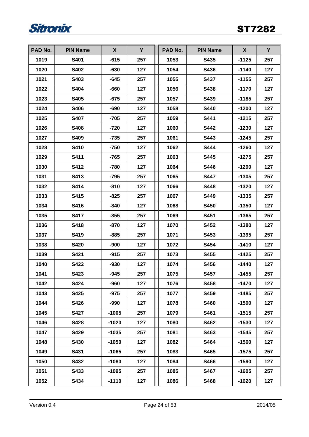

| PAD No. | <b>PIN Name</b> | X       | Y   | PAD No. | <b>PIN Name</b> | X       | Y   |
|---------|-----------------|---------|-----|---------|-----------------|---------|-----|
| 1019    | S401            | $-615$  | 257 | 1053    | S435            | $-1125$ | 257 |
| 1020    | S402            | $-630$  | 127 | 1054    | S436            | $-1140$ | 127 |
| 1021    | S403            | $-645$  | 257 | 1055    | <b>S437</b>     | $-1155$ | 257 |
| 1022    | S404            | -660    | 127 | 1056    | <b>S438</b>     | $-1170$ | 127 |
| 1023    | S405            | $-675$  | 257 | 1057    | S439            | $-1185$ | 257 |
| 1024    | S406            | $-690$  | 127 | 1058    | <b>S440</b>     | $-1200$ | 127 |
| 1025    | <b>S407</b>     | $-705$  | 257 | 1059    | <b>S441</b>     | $-1215$ | 257 |
| 1026    | S408            | -720    | 127 | 1060    | <b>S442</b>     | $-1230$ | 127 |
| 1027    | S409            | $-735$  | 257 | 1061    | S443            | $-1245$ | 257 |
| 1028    | S410            | $-750$  | 127 | 1062    | S444            | $-1260$ | 127 |
| 1029    | S411            | $-765$  | 257 | 1063    | S445            | $-1275$ | 257 |
| 1030    | S412            | $-780$  | 127 | 1064    | S446            | $-1290$ | 127 |
| 1031    | S413            | $-795$  | 257 | 1065    | <b>S447</b>     | $-1305$ | 257 |
| 1032    | S414            | $-810$  | 127 | 1066    | S448            | $-1320$ | 127 |
| 1033    | S415            | $-825$  | 257 | 1067    | <b>S449</b>     | $-1335$ | 257 |
| 1034    | S416            | $-840$  | 127 | 1068    | <b>S450</b>     | $-1350$ | 127 |
| 1035    | <b>S417</b>     | $-855$  | 257 | 1069    | S451            | $-1365$ | 257 |
| 1036    | S418            | $-870$  | 127 | 1070    | S452            | $-1380$ | 127 |
| 1037    | S419            | $-885$  | 257 | 1071    | S453            | $-1395$ | 257 |
| 1038    | <b>S420</b>     | -900    | 127 | 1072    | <b>S454</b>     | $-1410$ | 127 |
| 1039    | S421            | $-915$  | 257 | 1073    | <b>S455</b>     | $-1425$ | 257 |
| 1040    | S422            | $-930$  | 127 | 1074    | S456            | $-1440$ | 127 |
| 1041    | S423            | $-945$  | 257 | 1075    | <b>S457</b>     | $-1455$ | 257 |
| 1042    | S424            | $-960$  | 127 | 1076    | S458            | $-1470$ | 127 |
| 1043    | S425            | $-975$  | 257 | 1077    | S459            | -1485   | 257 |
| 1044    | S426            | $-990$  | 127 | 1078    | S460            | $-1500$ | 127 |
| 1045    | <b>S427</b>     | $-1005$ | 257 | 1079    | S461            | $-1515$ | 257 |
| 1046    | <b>S428</b>     | $-1020$ | 127 | 1080    | S462            | $-1530$ | 127 |
| 1047    | S429            | $-1035$ | 257 | 1081    | S463            | $-1545$ | 257 |
| 1048    | S430            | $-1050$ | 127 | 1082    | S464            | $-1560$ | 127 |
| 1049    | S431            | $-1065$ | 257 | 1083    | S465            | $-1575$ | 257 |
| 1050    | S432            | $-1080$ | 127 | 1084    | S466            | $-1590$ | 127 |
| 1051    | S433            | $-1095$ | 257 | 1085    | S467            | $-1605$ | 257 |
| 1052    | S434            | $-1110$ | 127 | 1086    | S468            | $-1620$ | 127 |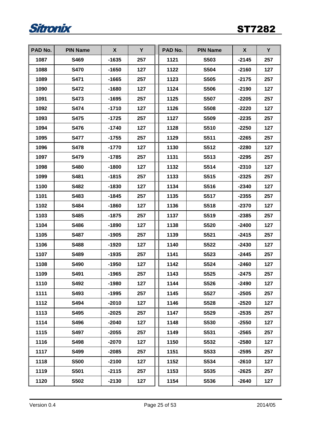

| PAD No. | <b>PIN Name</b> | X       | Y   | PAD No. | <b>PIN Name</b> | X       | Y   |
|---------|-----------------|---------|-----|---------|-----------------|---------|-----|
| 1087    | S469            | $-1635$ | 257 | 1121    | S503            | $-2145$ | 257 |
| 1088    | <b>S470</b>     | $-1650$ | 127 | 1122    | <b>S504</b>     | $-2160$ | 127 |
| 1089    | S471            | $-1665$ | 257 | 1123    | <b>S505</b>     | $-2175$ | 257 |
| 1090    | <b>S472</b>     | $-1680$ | 127 | 1124    | <b>S506</b>     | $-2190$ | 127 |
| 1091    | S473            | $-1695$ | 257 | 1125    | <b>S507</b>     | $-2205$ | 257 |
| 1092    | <b>S474</b>     | $-1710$ | 127 | 1126    | <b>S508</b>     | $-2220$ | 127 |
| 1093    | <b>S475</b>     | $-1725$ | 257 | 1127    | S509            | $-2235$ | 257 |
| 1094    | S476            | $-1740$ | 127 | 1128    | S510            | $-2250$ | 127 |
| 1095    | <b>S477</b>     | -1755   | 257 | 1129    | S511            | $-2265$ | 257 |
| 1096    | S478            | $-1770$ | 127 | 1130    | S512            | $-2280$ | 127 |
| 1097    | <b>S479</b>     | $-1785$ | 257 | 1131    | S513            | $-2295$ | 257 |
| 1098    | <b>S480</b>     | $-1800$ | 127 | 1132    | S514            | $-2310$ | 127 |
| 1099    | S481            | $-1815$ | 257 | 1133    | S515            | $-2325$ | 257 |
| 1100    | S482            | $-1830$ | 127 | 1134    | S516            | $-2340$ | 127 |
| 1101    | S483            | $-1845$ | 257 | 1135    | <b>S517</b>     | $-2355$ | 257 |
| 1102    | S484            | $-1860$ | 127 | 1136    | S518            | $-2370$ | 127 |
| 1103    | S485            | $-1875$ | 257 | 1137    | S519            | $-2385$ | 257 |
| 1104    | S486            | $-1890$ | 127 | 1138    | <b>S520</b>     | $-2400$ | 127 |
| 1105    | S487            | $-1905$ | 257 | 1139    | S521            | $-2415$ | 257 |
| 1106    | S488            | -1920   | 127 | 1140    | <b>S522</b>     | $-2430$ | 127 |
| 1107    | S489            | $-1935$ | 257 | 1141    | S523            | $-2445$ | 257 |
| 1108    | S490            | $-1950$ | 127 | 1142    | S524            | $-2460$ | 127 |
| 1109    | S491            | $-1965$ | 257 | 1143    | S525            | $-2475$ | 257 |
| 1110    | S492            | $-1980$ | 127 | 1144    | <b>S526</b>     | $-2490$ | 127 |
| 1111    | S493            | $-1995$ | 257 | 1145    | <b>S527</b>     | $-2505$ | 257 |
| 1112    | S494            | $-2010$ | 127 | 1146    | <b>S528</b>     | $-2520$ | 127 |
| 1113    | S495            | $-2025$ | 257 | 1147    | S529            | $-2535$ | 257 |
| 1114    | S496            | $-2040$ | 127 | 1148    | <b>S530</b>     | $-2550$ | 127 |
| 1115    | S497            | $-2055$ | 257 | 1149    | S531            | $-2565$ | 257 |
| 1116    | S498            | $-2070$ | 127 | 1150    | S532            | $-2580$ | 127 |
| 1117    | S499            | $-2085$ | 257 | 1151    | S533            | $-2595$ | 257 |
| 1118    | <b>S500</b>     | $-2100$ | 127 | 1152    | S534            | $-2610$ | 127 |
| 1119    | S501            | $-2115$ | 257 | 1153    | S535            | $-2625$ | 257 |
| 1120    | S502            | $-2130$ | 127 | 1154    | S536            | $-2640$ | 127 |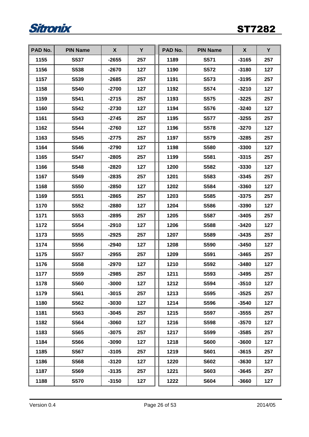

| PAD No. | <b>PIN Name</b> | X       | Y   | PAD No. | <b>PIN Name</b> | X       | Y   |
|---------|-----------------|---------|-----|---------|-----------------|---------|-----|
| 1155    | S537            | $-2655$ | 257 | 1189    | S571            | $-3165$ | 257 |
| 1156    | S538            | $-2670$ | 127 | 1190    | <b>S572</b>     | $-3180$ | 127 |
| 1157    | S539            | $-2685$ | 257 | 1191    | S573            | $-3195$ | 257 |
| 1158    | <b>S540</b>     | $-2700$ | 127 | 1192    | <b>S574</b>     | $-3210$ | 127 |
| 1159    | S541            | $-2715$ | 257 | 1193    | S575            | $-3225$ | 257 |
| 1160    | S542            | $-2730$ | 127 | 1194    | <b>S576</b>     | $-3240$ | 127 |
| 1161    | S543            | $-2745$ | 257 | 1195    | <b>S577</b>     | $-3255$ | 257 |
| 1162    | S544            | $-2760$ | 127 | 1196    | <b>S578</b>     | $-3270$ | 127 |
| 1163    | S545            | $-2775$ | 257 | 1197    | <b>S579</b>     | $-3285$ | 257 |
| 1164    | S546            | $-2790$ | 127 | 1198    | <b>S580</b>     | $-3300$ | 127 |
| 1165    | <b>S547</b>     | $-2805$ | 257 | 1199    | S581            | $-3315$ | 257 |
| 1166    | S548            | $-2820$ | 127 | 1200    | S582            | $-3330$ | 127 |
| 1167    | S549            | $-2835$ | 257 | 1201    | S583            | $-3345$ | 257 |
| 1168    | S550            | $-2850$ | 127 | 1202    | S584            | $-3360$ | 127 |
| 1169    | S551            | $-2865$ | 257 | 1203    | S585            | $-3375$ | 257 |
| 1170    | S552            | $-2880$ | 127 | 1204    | S586            | $-3390$ | 127 |
| 1171    | S553            | $-2895$ | 257 | 1205    | S587            | $-3405$ | 257 |
| 1172    | S554            | $-2910$ | 127 | 1206    | S588            | $-3420$ | 127 |
| 1173    | S555            | $-2925$ | 257 | 1207    | S589            | $-3435$ | 257 |
| 1174    | <b>S556</b>     | $-2940$ | 127 | 1208    | <b>S590</b>     | $-3450$ | 127 |
| 1175    | S557            | $-2955$ | 257 | 1209    | S591            | $-3465$ | 257 |
| 1176    | S558            | $-2970$ | 127 | 1210    | S592            | $-3480$ | 127 |
| 1177    | S559            | $-2985$ | 257 | 1211    | S593            | $-3495$ | 257 |
| 1178    | <b>S560</b>     | $-3000$ | 127 | 1212    | S594            | $-3510$ | 127 |
| 1179    | S561            | $-3015$ | 257 | 1213    | S595            | $-3525$ | 257 |
| 1180    | S562            | $-3030$ | 127 | 1214    | S596            | $-3540$ | 127 |
| 1181    | S563            | $-3045$ | 257 | 1215    | S597            | $-3555$ | 257 |
| 1182    | S564            | $-3060$ | 127 | 1216    | <b>S598</b>     | $-3570$ | 127 |
| 1183    | S565            | $-3075$ | 257 | 1217    | S599            | $-3585$ | 257 |
| 1184    | S566            | $-3090$ | 127 | 1218    | <b>S600</b>     | $-3600$ | 127 |
| 1185    | S567            | $-3105$ | 257 | 1219    | <b>S601</b>     | -3615   | 257 |
| 1186    | S568            | $-3120$ | 127 | 1220    | <b>S602</b>     | $-3630$ | 127 |
| 1187    | S569            | $-3135$ | 257 | 1221    | <b>S603</b>     | $-3645$ | 257 |
| 1188    | <b>S570</b>     | $-3150$ | 127 | 1222    | <b>S604</b>     | $-3660$ | 127 |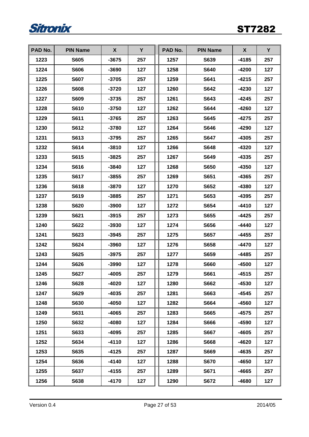

| PAD No. | <b>PIN Name</b> | X       | Y   | PAD No. | <b>PIN Name</b> | X       | Y   |
|---------|-----------------|---------|-----|---------|-----------------|---------|-----|
| 1223    | <b>S605</b>     | $-3675$ | 257 | 1257    | S639            | $-4185$ | 257 |
| 1224    | <b>S606</b>     | -3690   | 127 | 1258    | <b>S640</b>     | -4200   | 127 |
| 1225    | <b>S607</b>     | $-3705$ | 257 | 1259    | <b>S641</b>     | $-4215$ | 257 |
| 1226    | <b>S608</b>     | $-3720$ | 127 | 1260    | <b>S642</b>     | $-4230$ | 127 |
| 1227    | <b>S609</b>     | $-3735$ | 257 | 1261    | <b>S643</b>     | $-4245$ | 257 |
| 1228    | S610            | $-3750$ | 127 | 1262    | <b>S644</b>     | -4260   | 127 |
| 1229    | S611            | $-3765$ | 257 | 1263    | S645            | -4275   | 257 |
| 1230    | S612            | $-3780$ | 127 | 1264    | S646            | $-4290$ | 127 |
| 1231    | S613            | $-3795$ | 257 | 1265    | <b>S647</b>     | $-4305$ | 257 |
| 1232    | S614            | $-3810$ | 127 | 1266    | S648            | $-4320$ | 127 |
| 1233    | <b>S615</b>     | $-3825$ | 257 | 1267    | <b>S649</b>     | -4335   | 257 |
| 1234    | S616            | $-3840$ | 127 | 1268    | <b>S650</b>     | $-4350$ | 127 |
| 1235    | S617            | $-3855$ | 257 | 1269    | S651            | -4365   | 257 |
| 1236    | S618            | $-3870$ | 127 | 1270    | S652            | -4380   | 127 |
| 1237    | S619            | $-3885$ | 257 | 1271    | S653            | -4395   | 257 |
| 1238    | <b>S620</b>     | $-3900$ | 127 | 1272    | S654            | -4410   | 127 |
| 1239    | S621            | $-3915$ | 257 | 1273    | S655            | $-4425$ | 257 |
| 1240    | S622            | $-3930$ | 127 | 1274    | S656            | $-4440$ | 127 |
| 1241    | S623            | $-3945$ | 257 | 1275    | <b>S657</b>     | -4455   | 257 |
| 1242    | S624            | $-3960$ | 127 | 1276    | <b>S658</b>     | -4470   | 127 |
| 1243    | S625            | $-3975$ | 257 | 1277    | S659            | $-4485$ | 257 |
| 1244    | S626            | $-3990$ | 127 | 1278    | <b>S660</b>     | -4500   | 127 |
| 1245    | <b>S627</b>     | $-4005$ | 257 | 1279    | S661            | -4515   | 257 |
| 1246    | S628            | $-4020$ | 127 | 1280    | <b>S662</b>     | $-4530$ | 127 |
| 1247    | S629            | $-4035$ | 257 | 1281    | S663            | -4545   | 257 |
| 1248    | S630            | $-4050$ | 127 | 1282    | S664            | -4560   | 127 |
| 1249    | S631            | -4065   | 257 | 1283    | <b>S665</b>     | -4575   | 257 |
| 1250    | S632            | -4080   | 127 | 1284    | <b>S666</b>     | -4590   | 127 |
| 1251    | S633            | $-4095$ | 257 | 1285    | <b>S667</b>     | -4605   | 257 |
| 1252    | S634            | $-4110$ | 127 | 1286    | <b>S668</b>     | $-4620$ | 127 |
| 1253    | S635            | $-4125$ | 257 | 1287    | S669            | -4635   | 257 |
| 1254    | S636            | $-4140$ | 127 | 1288    | <b>S670</b>     | -4650   | 127 |
| 1255    | S637            | $-4155$ | 257 | 1289    | S671            | -4665   | 257 |
| 1256    | S638            | $-4170$ | 127 | 1290    | <b>S672</b>     | $-4680$ | 127 |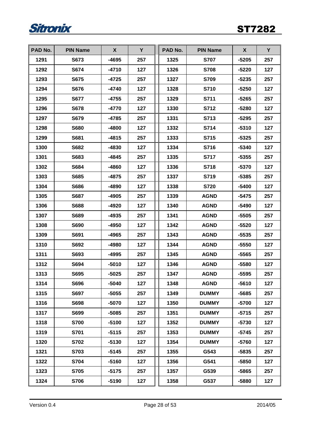

| PAD No. | <b>PIN Name</b> | X       | Y   | PAD No. | <b>PIN Name</b> | X       | Y   |
|---------|-----------------|---------|-----|---------|-----------------|---------|-----|
| 1291    | S673            | -4695   | 257 | 1325    | <b>S707</b>     | $-5205$ | 257 |
| 1292    | S674            | $-4710$ | 127 | 1326    | <b>S708</b>     | $-5220$ | 127 |
| 1293    | S675            | $-4725$ | 257 | 1327    | <b>S709</b>     | $-5235$ | 257 |
| 1294    | <b>S676</b>     | -4740   | 127 | 1328    | <b>S710</b>     | $-5250$ | 127 |
| 1295    | <b>S677</b>     | $-4755$ | 257 | 1329    | S711            | $-5265$ | 257 |
| 1296    | <b>S678</b>     | $-4770$ | 127 | 1330    | S712            | $-5280$ | 127 |
| 1297    | S679            | $-4785$ | 257 | 1331    | S713            | $-5295$ | 257 |
| 1298    | <b>S680</b>     | $-4800$ | 127 | 1332    | S714            | $-5310$ | 127 |
| 1299    | S681            | $-4815$ | 257 | 1333    | S715            | $-5325$ | 257 |
| 1300    | S682            | -4830   | 127 | 1334    | S716            | $-5340$ | 127 |
| 1301    | S683            | -4845   | 257 | 1335    | <b>S717</b>     | $-5355$ | 257 |
| 1302    | S684            | -4860   | 127 | 1336    | S718            | $-5370$ | 127 |
| 1303    | S685            | -4875   | 257 | 1337    | S719            | $-5385$ | 257 |
| 1304    | S686            | -4890   | 127 | 1338    | <b>S720</b>     | $-5400$ | 127 |
| 1305    | <b>S687</b>     | $-4905$ | 257 | 1339    | <b>AGND</b>     | $-5475$ | 257 |
| 1306    | S688            | $-4920$ | 127 | 1340    | <b>AGND</b>     | -5490   | 127 |
| 1307    | S689            | -4935   | 257 | 1341    | <b>AGND</b>     | $-5505$ | 257 |
| 1308    | <b>S690</b>     | -4950   | 127 | 1342    | <b>AGND</b>     | $-5520$ | 127 |
| 1309    | S691            | -4965   | 257 | 1343    | <b>AGND</b>     | $-5535$ | 257 |
| 1310    | S692            | -4980   | 127 | 1344    | <b>AGND</b>     | $-5550$ | 127 |
| 1311    | S693            | $-4995$ | 257 | 1345    | <b>AGND</b>     | $-5565$ | 257 |
| 1312    | S694            | $-5010$ | 127 | 1346    | <b>AGND</b>     | $-5580$ | 127 |
| 1313    | S695            | $-5025$ | 257 | 1347    | <b>AGND</b>     | $-5595$ | 257 |
| 1314    | S696            | -5040   | 127 | 1348    | <b>AGND</b>     | $-5610$ | 127 |
| 1315    | S697            | $-5055$ | 257 | 1349    | <b>DUMMY</b>    | $-5685$ | 257 |
| 1316    | S698            | $-5070$ | 127 | 1350    | <b>DUMMY</b>    | $-5700$ | 127 |
| 1317    | S699            | $-5085$ | 257 | 1351    | <b>DUMMY</b>    | $-5715$ | 257 |
| 1318    | <b>S700</b>     | $-5100$ | 127 | 1352    | <b>DUMMY</b>    | $-5730$ | 127 |
| 1319    | S701            | $-5115$ | 257 | 1353    | <b>DUMMY</b>    | $-5745$ | 257 |
| 1320    | S702            | $-5130$ | 127 | 1354    | <b>DUMMY</b>    | $-5760$ | 127 |
| 1321    | S703            | $-5145$ | 257 | 1355    | G543            | -5835   | 257 |
| 1322    | S704            | $-5160$ | 127 | 1356    | G541            | -5850   | 127 |
| 1323    | S705            | $-5175$ | 257 | 1357    | G539            | -5865   | 257 |
| 1324    | <b>S706</b>     | $-5190$ | 127 | 1358    | G537            | $-5880$ | 127 |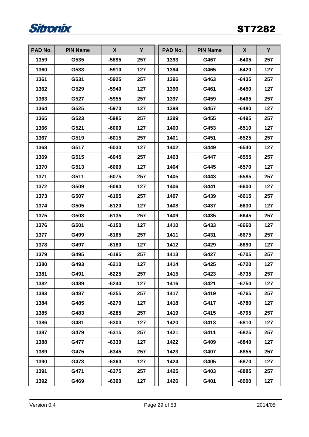

| PAD No. | <b>PIN Name</b> | X       | Y   | PAD No. | <b>PIN Name</b> | X       | Y   |
|---------|-----------------|---------|-----|---------|-----------------|---------|-----|
| 1359    | G535            | $-5895$ | 257 | 1393    | G467            | $-6405$ | 257 |
| 1360    | G533            | $-5910$ | 127 | 1394    | G465            | $-6420$ | 127 |
| 1361    | G531            | $-5925$ | 257 | 1395    | G463            | $-6435$ | 257 |
| 1362    | G529            | -5940   | 127 | 1396    | G461            | $-6450$ | 127 |
| 1363    | G527            | $-5955$ | 257 | 1397    | G459            | $-6465$ | 257 |
| 1364    | G525            | -5970   | 127 | 1398    | G457            | $-6480$ | 127 |
| 1365    | G523            | $-5985$ | 257 | 1399    | G455            | $-6495$ | 257 |
| 1366    | G521            | $-6000$ | 127 | 1400    | G453            | $-6510$ | 127 |
| 1367    | G519            | $-6015$ | 257 | 1401    | G451            | $-6525$ | 257 |
| 1368    | G517            | $-6030$ | 127 | 1402    | G449            | $-6540$ | 127 |
| 1369    | G515            | $-6045$ | 257 | 1403    | G447            | $-6555$ | 257 |
| 1370    | G513            | -6060   | 127 | 1404    | G445            | $-6570$ | 127 |
| 1371    | G511            | $-6075$ | 257 | 1405    | G443            | $-6585$ | 257 |
| 1372    | G509            | $-6090$ | 127 | 1406    | G441            | $-6600$ | 127 |
| 1373    | G507            | $-6105$ | 257 | 1407    | G439            | $-6615$ | 257 |
| 1374    | G505            | $-6120$ | 127 | 1408    | G437            | $-6630$ | 127 |
| 1375    | G503            | $-6135$ | 257 | 1409    | G435            | $-6645$ | 257 |
| 1376    | G501            | $-6150$ | 127 | 1410    | G433            | -6660   | 127 |
| 1377    | G499            | $-6165$ | 257 | 1411    | G431            | $-6675$ | 257 |
| 1378    | G497            | $-6180$ | 127 | 1412    | G429            | $-6690$ | 127 |
| 1379    | G495            | $-6195$ | 257 | 1413    | G427            | $-6705$ | 257 |
| 1380    | G493            | $-6210$ | 127 | 1414    | G425            | $-6720$ | 127 |
| 1381    | G491            | $-6225$ | 257 | 1415    | G423            | $-6735$ | 257 |
| 1382    | G489            | $-6240$ | 127 | 1416    | G421            | $-6750$ | 127 |
| 1383    | G487            | $-6255$ | 257 | 1417    | G419            | -6765   | 257 |
| 1384    | G485            | $-6270$ | 127 | 1418    | G417            | $-6780$ | 127 |
| 1385    | G483            | $-6285$ | 257 | 1419    | G415            | $-6795$ | 257 |
| 1386    | G481            | $-6300$ | 127 | 1420    | G413            | $-6810$ | 127 |
| 1387    | G479            | $-6315$ | 257 | 1421    | G411            | $-6825$ | 257 |
| 1388    | G477            | $-6330$ | 127 | 1422    | G409            | $-6840$ | 127 |
| 1389    | G475            | $-6345$ | 257 | 1423    | G407            | $-6855$ | 257 |
| 1390    | G473            | $-6360$ | 127 | 1424    | G405            | -6870   | 127 |
| 1391    | G471            | $-6375$ | 257 | 1425    | G403            | $-6885$ | 257 |
| 1392    | G469            | $-6390$ | 127 | 1426    | G401            | $-6900$ | 127 |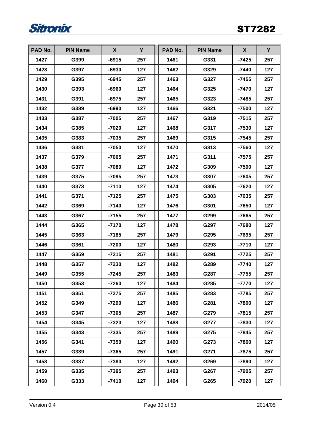

| PAD No. | <b>PIN Name</b> | X       | Y   | PAD No. | <b>PIN Name</b> | X       | Y   |
|---------|-----------------|---------|-----|---------|-----------------|---------|-----|
| 1427    | G399            | $-6915$ | 257 | 1461    | G331            | $-7425$ | 257 |
| 1428    | G397            | $-6930$ | 127 | 1462    | G329            | -7440   | 127 |
| 1429    | G395            | $-6945$ | 257 | 1463    | G327            | $-7455$ | 257 |
| 1430    | G393            | -6960   | 127 | 1464    | G325            | -7470   | 127 |
| 1431    | G391            | $-6975$ | 257 | 1465    | G323            | $-7485$ | 257 |
| 1432    | G389            | -6990   | 127 | 1466    | G321            | $-7500$ | 127 |
| 1433    | G387            | $-7005$ | 257 | 1467    | G319            | $-7515$ | 257 |
| 1434    | G385            | $-7020$ | 127 | 1468    | G317            | -7530   | 127 |
| 1435    | G383            | $-7035$ | 257 | 1469    | G315            | -7545   | 257 |
| 1436    | G381            | $-7050$ | 127 | 1470    | G313            | $-7560$ | 127 |
| 1437    | G379            | $-7065$ | 257 | 1471    | G311            | -7575   | 257 |
| 1438    | G377            | -7080   | 127 | 1472    | G309            | $-7590$ | 127 |
| 1439    | G375            | -7095   | 257 | 1473    | G307            | $-7605$ | 257 |
| 1440    | G373            | $-7110$ | 127 | 1474    | G305            | $-7620$ | 127 |
| 1441    | G371            | $-7125$ | 257 | 1475    | G303            | $-7635$ | 257 |
| 1442    | G369            | -7140   | 127 | 1476    | G301            | -7650   | 127 |
| 1443    | G367            | $-7155$ | 257 | 1477    | G299            | $-7665$ | 257 |
| 1444    | G365            | $-7170$ | 127 | 1478    | G297            | -7680   | 127 |
| 1445    | G363            | $-7185$ | 257 | 1479    | G295            | $-7695$ | 257 |
| 1446    | G361            | $-7200$ | 127 | 1480    | G293            | $-7710$ | 127 |
| 1447    | G359            | $-7215$ | 257 | 1481    | G291            | $-7725$ | 257 |
| 1448    | G357            | $-7230$ | 127 | 1482    | G289            | $-7740$ | 127 |
| 1449    | G355            | $-7245$ | 257 | 1483    | G287            | $-7755$ | 257 |
| 1450    | G353            | $-7260$ | 127 | 1484    | G285            | $-7770$ | 127 |
| 1451    | G351            | -7275   | 257 | 1485    | G283            | $-7785$ | 257 |
| 1452    | G349            | $-7290$ | 127 | 1486    | G281            | $-7800$ | 127 |
| 1453    | G347            | $-7305$ | 257 | 1487    | G279            | $-7815$ | 257 |
| 1454    | G345            | -7320   | 127 | 1488    | G277            | $-7830$ | 127 |
| 1455    | G343            | $-7335$ | 257 | 1489    | G275            | $-7845$ | 257 |
| 1456    | G341            | $-7350$ | 127 | 1490    | G273            | $-7860$ | 127 |
| 1457    | G339            | $-7365$ | 257 | 1491    | G271            | -7875   | 257 |
| 1458    | G337            | -7380   | 127 | 1492    | G269            | -7890   | 127 |
| 1459    | G335            | -7395   | 257 | 1493    | G267            | -7905   | 257 |
| 1460    | G333            | $-7410$ | 127 | 1494    | G265            | $-7920$ | 127 |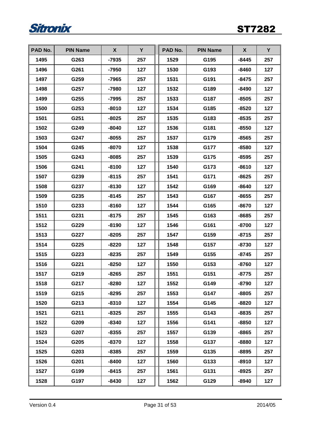

| PAD No. | <b>PIN Name</b> | X       | Y   | PAD No. | <b>PIN Name</b> | X       | Y   |
|---------|-----------------|---------|-----|---------|-----------------|---------|-----|
| 1495    | G263            | $-7935$ | 257 | 1529    | G195            | $-8445$ | 257 |
| 1496    | G261            | -7950   | 127 | 1530    | G193            | -8460   | 127 |
| 1497    | G259            | $-7965$ | 257 | 1531    | G191            | $-8475$ | 257 |
| 1498    | G257            | -7980   | 127 | 1532    | G189            | -8490   | 127 |
| 1499    | G255            | $-7995$ | 257 | 1533    | G187            | $-8505$ | 257 |
| 1500    | G253            | $-8010$ | 127 | 1534    | G185            | $-8520$ | 127 |
| 1501    | G251            | $-8025$ | 257 | 1535    | G183            | $-8535$ | 257 |
| 1502    | G249            | $-8040$ | 127 | 1536    | G181            | $-8550$ | 127 |
| 1503    | G247            | $-8055$ | 257 | 1537    | G179            | $-8565$ | 257 |
| 1504    | G245            | $-8070$ | 127 | 1538    | G177            | $-8580$ | 127 |
| 1505    | G243            | $-8085$ | 257 | 1539    | G175            | $-8595$ | 257 |
| 1506    | G241            | $-8100$ | 127 | 1540    | G173            | $-8610$ | 127 |
| 1507    | G239            | $-8115$ | 257 | 1541    | G171            | $-8625$ | 257 |
| 1508    | G237            | $-8130$ | 127 | 1542    | G169            | $-8640$ | 127 |
| 1509    | G235            | $-8145$ | 257 | 1543    | G167            | $-8655$ | 257 |
| 1510    | G233            | $-8160$ | 127 | 1544    | G165            | $-8670$ | 127 |
| 1511    | G231            | $-8175$ | 257 | 1545    | G163            | $-8685$ | 257 |
| 1512    | G229            | $-8190$ | 127 | 1546    | G161            | $-8700$ | 127 |
| 1513    | G227            | $-8205$ | 257 | 1547    | G159            | $-8715$ | 257 |
| 1514    | G225            | $-8220$ | 127 | 1548    | G157            | $-8730$ | 127 |
| 1515    | G223            | $-8235$ | 257 | 1549    | G155            | $-8745$ | 257 |
| 1516    | G221            | $-8250$ | 127 | 1550    | G153            | $-8760$ | 127 |
| 1517    | G219            | $-8265$ | 257 | 1551    | G151            | $-8775$ | 257 |
| 1518    | G217            | $-8280$ | 127 | 1552    | G149            | $-8790$ | 127 |
| 1519    | G215            | $-8295$ | 257 | 1553    | G147            | $-8805$ | 257 |
| 1520    | G213            | $-8310$ | 127 | 1554    | G145            | $-8820$ | 127 |
| 1521    | G211            | $-8325$ | 257 | 1555    | G143            | -8835   | 257 |
| 1522    | G209            | -8340   | 127 | 1556    | G141            | $-8850$ | 127 |
| 1523    | G207            | $-8355$ | 257 | 1557    | G139            | $-8865$ | 257 |
| 1524    | G205            | $-8370$ | 127 | 1558    | G137            | $-8880$ | 127 |
| 1525    | G203            | $-8385$ | 257 | 1559    | G135            | -8895   | 257 |
| 1526    | G201            | $-8400$ | 127 | 1560    | G133            | $-8910$ | 127 |
| 1527    | G199            | $-8415$ | 257 | 1561    | G131            | $-8925$ | 257 |
| 1528    | G197            | $-8430$ | 127 | 1562    | G129            | $-8940$ | 127 |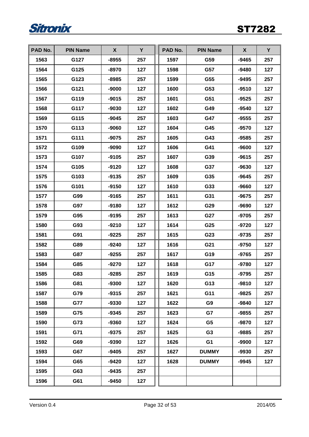

| PAD No. | <b>PIN Name</b> | X       | Y   | PAD No. | <b>PIN Name</b> | X       | Y   |
|---------|-----------------|---------|-----|---------|-----------------|---------|-----|
| 1563    | G127            | $-8955$ | 257 | 1597    | G59             | $-9465$ | 257 |
| 1564    | G125            | $-8970$ | 127 | 1598    | G57             | -9480   | 127 |
| 1565    | G123            | $-8985$ | 257 | 1599    | G55             | $-9495$ | 257 |
| 1566    | G121            | -9000   | 127 | 1600    | G53             | $-9510$ | 127 |
| 1567    | G119            | $-9015$ | 257 | 1601    | G51             | $-9525$ | 257 |
| 1568    | G117            | $-9030$ | 127 | 1602    | G49             | $-9540$ | 127 |
| 1569    | G115            | $-9045$ | 257 | 1603    | G47             | $-9555$ | 257 |
| 1570    | G113            | -9060   | 127 | 1604    | G45             | $-9570$ | 127 |
| 1571    | G111            | $-9075$ | 257 | 1605    | G43             | $-9585$ | 257 |
| 1572    | G109            | -9090   | 127 | 1606    | G41             | $-9600$ | 127 |
| 1573    | G107            | $-9105$ | 257 | 1607    | G39             | $-9615$ | 257 |
| 1574    | G105            | $-9120$ | 127 | 1608    | G37             | $-9630$ | 127 |
| 1575    | G103            | $-9135$ | 257 | 1609    | G35             | $-9645$ | 257 |
| 1576    | G101            | $-9150$ | 127 | 1610    | G33             | $-9660$ | 127 |
| 1577    | G99             | $-9165$ | 257 | 1611    | G31             | $-9675$ | 257 |
| 1578    | G97             | $-9180$ | 127 | 1612    | G29             | $-9690$ | 127 |
| 1579    | G95             | $-9195$ | 257 | 1613    | G27             | $-9705$ | 257 |
| 1580    | G93             | $-9210$ | 127 | 1614    | G25             | $-9720$ | 127 |
| 1581    | G91             | $-9225$ | 257 | 1615    | G23             | $-9735$ | 257 |
| 1582    | G89             | $-9240$ | 127 | 1616    | G21             | $-9750$ | 127 |
| 1583    | G87             | $-9255$ | 257 | 1617    | G19             | $-9765$ | 257 |
| 1584    | G85             | $-9270$ | 127 | 1618    | G17             | -9780   | 127 |
| 1585    | G83             | $-9285$ | 257 | 1619    | G15             | $-9795$ | 257 |
| 1586    | G81             | $-9300$ | 127 | 1620    | G13             | $-9810$ | 127 |
| 1587    | G79             | $-9315$ | 257 | 1621    | G11             | $-9825$ | 257 |
| 1588    | G77             | $-9330$ | 127 | 1622    | G <sub>9</sub>  | $-9840$ | 127 |
| 1589    | G75             | $-9345$ | 257 | 1623    | G7              | $-9855$ | 257 |
| 1590    | G73             | -9360   | 127 | 1624    | G <sub>5</sub>  | -9870   | 127 |
| 1591    | G71             | $-9375$ | 257 | 1625    | G <sub>3</sub>  | $-9885$ | 257 |
| 1592    | G69             | -9390   | 127 | 1626    | G <sub>1</sub>  | $-9900$ | 127 |
| 1593    | G67             | $-9405$ | 257 | 1627    | <b>DUMMY</b>    | $-9930$ | 257 |
| 1594    | G65             | $-9420$ | 127 | 1628    | <b>DUMMY</b>    | $-9945$ | 127 |
| 1595    | G63             | $-9435$ | 257 |         |                 |         |     |
| 1596    | G61             | $-9450$ | 127 |         |                 |         |     |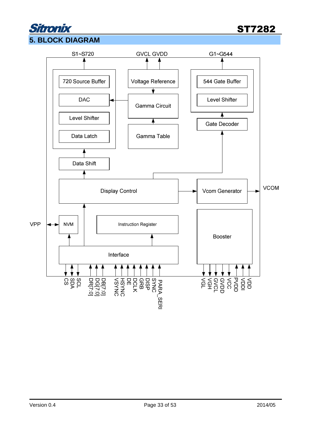### itronix **5. BLOCK DIAGRAM**

ST7282

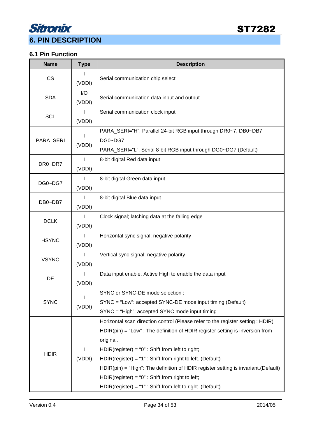

#### **6.1 Pin Function**

| <b>Name</b>  | <b>Type</b>            | <b>Description</b>                                                                                                                                                                                                                                                                                                                                                                                                                                                                                                   |  |  |  |  |  |
|--------------|------------------------|----------------------------------------------------------------------------------------------------------------------------------------------------------------------------------------------------------------------------------------------------------------------------------------------------------------------------------------------------------------------------------------------------------------------------------------------------------------------------------------------------------------------|--|--|--|--|--|
| <b>CS</b>    | L<br>(VDDI)            | Serial communication chip select                                                                                                                                                                                                                                                                                                                                                                                                                                                                                     |  |  |  |  |  |
| <b>SDA</b>   | I/O<br>(VDDI)          | Serial communication data input and output                                                                                                                                                                                                                                                                                                                                                                                                                                                                           |  |  |  |  |  |
| <b>SCL</b>   | L<br>(VDDI)            | Serial communication clock input                                                                                                                                                                                                                                                                                                                                                                                                                                                                                     |  |  |  |  |  |
| PARA_SERI    | (VDDI)                 | PARA_SERI="H", Parallel 24-bit RGB input through DR0~7, DB0~DB7,<br>DG0~DG7<br>PARA_SERI="L", Serial 8-bit RGB input through DG0~DG7 (Default)                                                                                                                                                                                                                                                                                                                                                                       |  |  |  |  |  |
| DR0~DR7      | I<br>(VDDI)            | 8-bit digital Red data input                                                                                                                                                                                                                                                                                                                                                                                                                                                                                         |  |  |  |  |  |
| DG0~DG7      | L<br>(VDDI)            | 8-bit digital Green data input                                                                                                                                                                                                                                                                                                                                                                                                                                                                                       |  |  |  |  |  |
| DB0~DB7      | I<br>(VDDI)            | 8-bit digital Blue data input                                                                                                                                                                                                                                                                                                                                                                                                                                                                                        |  |  |  |  |  |
| <b>DCLK</b>  | I<br>(VDDI)            | Clock signal; latching data at the falling edge                                                                                                                                                                                                                                                                                                                                                                                                                                                                      |  |  |  |  |  |
| <b>HSYNC</b> | T<br>(VDDI)            | Horizontal sync signal; negative polarity                                                                                                                                                                                                                                                                                                                                                                                                                                                                            |  |  |  |  |  |
| <b>VSYNC</b> | $\mathbf{I}$<br>(VDDI) | Vertical sync signal; negative polarity                                                                                                                                                                                                                                                                                                                                                                                                                                                                              |  |  |  |  |  |
| DE           | I<br>(VDDI)            | Data input enable. Active High to enable the data input                                                                                                                                                                                                                                                                                                                                                                                                                                                              |  |  |  |  |  |
| <b>SYNC</b>  | (VDDI)                 | SYNC or SYNC-DE mode selection :<br>SYNC = "Low": accepted SYNC-DE mode input timing (Default)<br>SYNC = "High": accepted SYNC mode input timing                                                                                                                                                                                                                                                                                                                                                                     |  |  |  |  |  |
| <b>HDIR</b>  | (VDDI)                 | Horizontal scan direction control (Please refer to the register setting : HDIR)<br>$HDIR(pin) = "Low"$ : The definition of HDIR register setting is inversion from<br>original.<br>$HDIR(register) = "0"$ : Shift from left to right;<br>$HDIR(register) = "1"$ : Shift from right to left. (Default)<br>$HDIR(pin) = "High": The definition of HDIR register setting is invariant. (Default)$<br>$HDIR(register) = "0"$ : Shift from right to left;<br>$HDIR(register) = "1"$ : Shift from left to right. (Default) |  |  |  |  |  |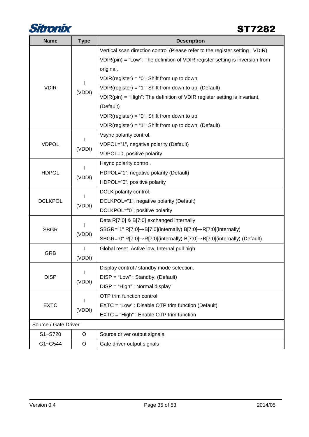

| <b>Name</b>          | <b>Type</b> | <b>Description</b>                                                                       |
|----------------------|-------------|------------------------------------------------------------------------------------------|
|                      |             | Vertical scan direction control (Please refer to the register setting : VDIR)            |
|                      |             | $VDIR(pin) = "Low":$ The definition of VDIR register setting is inversion from           |
|                      |             | original.                                                                                |
|                      |             | $VDIR(register) = "0": Shift from up to down;$                                           |
| <b>VDIR</b>          | (VDDI)      | VDIR(register) = "1": Shift from down to up. (Default)                                   |
|                      |             | $VDIR(pin) = "High": The definition of VDIR register setting is invariant.$              |
|                      |             | (Default)                                                                                |
|                      |             | $VDIR(register) = "0": Shift from down to up;$                                           |
|                      |             | VDIR(register) = "1": Shift from up to down. (Default)                                   |
|                      |             | Vsync polarity control.                                                                  |
| <b>VDPOL</b>         | (VDDI)      | VDPOL="1", negative polarity (Default)                                                   |
|                      |             | VDPOL=0, positive polarity                                                               |
|                      | (VDDI)      | Hsync polarity control.                                                                  |
| <b>HDPOL</b>         |             | HDPOL="1", negative polarity (Default)                                                   |
|                      |             | HDPOL="0", positive polarity                                                             |
|                      |             | DCLK polarity control.                                                                   |
| <b>DCLKPOL</b>       | (VDDI)      | DCLKPOL="1", negative polarity (Default)                                                 |
|                      |             | DCLKPOL="0", positive polarity                                                           |
|                      |             | Data R[7:0] & B[7:0] exchanged internally                                                |
| <b>SBGR</b>          | (VDDI)      | SBGR="1" R[7:0] $\rightarrow$ B[7:0](internally) B[7:0] $\rightarrow$ R[7:0](internally) |
|                      |             | SBGR="0" R[7:0]→R[7:0](internally) B[7:0]→B[7:0](internally) (Default)                   |
| <b>GRB</b>           |             | Global reset. Active low, Internal pull high                                             |
|                      | (VDDI)      |                                                                                          |
|                      |             | Display control / standby mode selection.                                                |
| <b>DISP</b>          | (VDDI)      | $DISP = "Low" : Standby; (Default)$                                                      |
|                      |             | DISP = "High" : Normal display                                                           |
|                      |             | OTP trim function control.                                                               |
| <b>EXTC</b>          | (VDDI)      | EXTC = "Low": Disable OTP trim function (Default)                                        |
|                      |             | EXTC = "High" : Enable OTP trim function                                                 |
| Source / Gate Driver |             |                                                                                          |
| S1~S720              | O           | Source driver output signals                                                             |
| G1~G544              | O           | Gate driver output signals                                                               |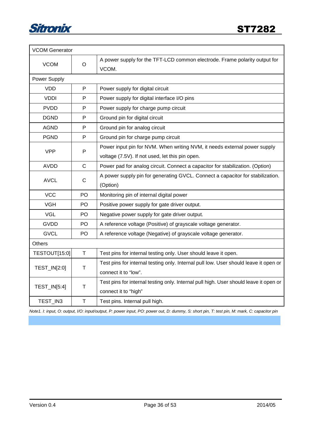

| <b>VCOM Generator</b> |              |                                                                                       |
|-----------------------|--------------|---------------------------------------------------------------------------------------|
| <b>VCOM</b>           | O            | A power supply for the TFT-LCD common electrode. Frame polarity output for<br>VCOM.   |
| Power Supply          |              |                                                                                       |
| <b>VDD</b>            | P            | Power supply for digital circuit                                                      |
| <b>VDDI</b>           | P            | Power supply for digital interface I/O pins                                           |
| <b>PVDD</b>           | P            | Power supply for charge pump circuit                                                  |
| <b>DGND</b>           | P            | Ground pin for digital circuit                                                        |
| <b>AGND</b>           | $\mathsf{P}$ | Ground pin for analog circuit                                                         |
| <b>PGND</b>           | P            | Ground pin for charge pump circuit                                                    |
| <b>VPP</b>            |              | Power input pin for NVM. When writing NVM, it needs external power supply             |
|                       | P            | voltage (7.5V). If not used, let this pin open.                                       |
| <b>AVDD</b>           | $\mathsf{C}$ | Power pad for analog circuit. Connect a capacitor for stabilization. (Option)         |
|                       | $\mathsf{C}$ | A power supply pin for generating GVCL. Connect a capacitor for stabilization.        |
| <b>AVCL</b>           |              | (Option)                                                                              |
| <b>VCC</b>            | PO           | Monitoring pin of internal digital power                                              |
| <b>VGH</b>            | PO           | Positive power supply for gate driver output.                                         |
| <b>VGL</b>            | PO           | Negative power supply for gate driver output.                                         |
| <b>GVDD</b>           | PO.          | A reference voltage (Positive) of grayscale voltage generator.                        |
| <b>GVCL</b>           | PO           | A reference voltage (Negative) of grayscale voltage generator.                        |
| <b>Others</b>         |              |                                                                                       |
| TESTOUT[15:0]         | Τ            | Test pins for internal testing only. User should leave it open.                       |
| TEST_IN[2:0]          |              | Test pins for internal testing only. Internal pull low. User should leave it open or  |
|                       | т            | connect it to "low".                                                                  |
| TEST_IN[5:4]          |              | Test pins for internal testing only. Internal pull high. User should leave it open or |
|                       | т            | connect it to "high"                                                                  |
| TEST IN3              | T            | Test pins. Internal pull high.                                                        |

Note1. I: input, O: output, I/O: input/output, P: power input, PO: power out, D: dummy, S: short pin, T: test pin, M: mark, C: capacitor pin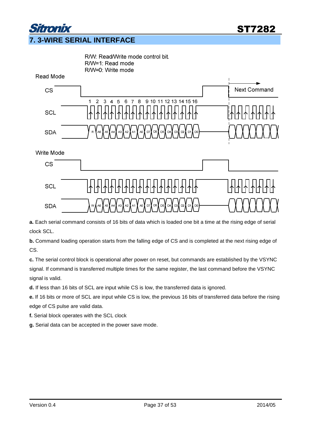

**a.** Each serial command consists of 16 bits of data which is loaded one bit a time at the rising edge of serial clock SCL.

**b.** Command loading operation starts from the falling edge of CS and is completed at the next rising edge of CS.

**c.** The serial control block is operational after power on reset, but commands are established by the VSYNC signal. If command is transferred multiple times for the same register, the last command before the VSYNC signal is valid.

**d.** If less than 16 bits of SCL are input while CS is low, the transferred data is ignored.

**e.** If 16 bits or more of SCL are input while CS is low, the previous 16 bits of transferred data before the rising edge of CS pulse are valid data.

**f.** Serial block operates with the SCL clock

**g.** Serial data can be accepted in the power save mode.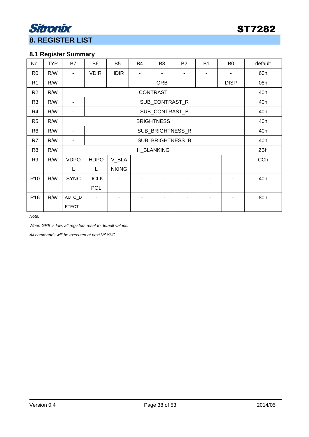

### Sitronix **8. REGISTER LIST**

#### **8.1 Register Summary**

| No.             | <b>TYP</b> | <b>B7</b>    | B <sub>6</sub>           | B <sub>5</sub> | B <sub>4</sub> | B <sub>3</sub>    | <b>B2</b> | <b>B1</b> | B <sub>0</sub> | default    |  |
|-----------------|------------|--------------|--------------------------|----------------|----------------|-------------------|-----------|-----------|----------------|------------|--|
| R <sub>0</sub>  | R/W        |              | <b>VDIR</b>              | <b>HDIR</b>    |                |                   |           |           |                | 60h        |  |
| R <sub>1</sub>  | R/W        |              |                          |                | ۰              | <b>GRB</b>        | ٠         |           | <b>DISP</b>    | 08h        |  |
| R <sub>2</sub>  | R/W        |              | <b>CONTRAST</b>          |                |                |                   |           |           |                |            |  |
| R <sub>3</sub>  | R/W        |              | SUB_CONTRAST_R           |                |                |                   |           |           |                |            |  |
| R4              | R/W        |              | SUB_CONTRAST_B           |                |                |                   |           |           |                |            |  |
| R <sub>5</sub>  | R/W        |              | <b>BRIGHTNESS</b>        |                |                |                   |           |           |                |            |  |
| R <sub>6</sub>  | R/W        |              |                          | 40h            |                |                   |           |           |                |            |  |
| R7              | R/W        |              |                          | 40h            |                |                   |           |           |                |            |  |
| R <sub>8</sub>  | R/W        |              |                          |                |                | <b>H_BLANKING</b> |           |           |                | 2Bh        |  |
| R <sub>9</sub>  | R/W        | <b>VDPO</b>  | <b>HDPO</b>              | V_BLA          |                |                   |           |           |                | <b>CCh</b> |  |
|                 |            | L            | L                        | <b>NKING</b>   |                |                   |           |           |                |            |  |
| R <sub>10</sub> | R/W        | <b>SYNC</b>  | <b>DCLK</b>              |                |                |                   |           |           |                | 40h        |  |
|                 |            |              | <b>POL</b>               |                |                |                   |           |           |                |            |  |
| R <sub>16</sub> | R/W        | AUTO_D       | $\overline{\phantom{a}}$ |                |                |                   |           |           |                | 80h        |  |
|                 |            | <b>ETECT</b> |                          |                |                |                   |           |           |                |            |  |

Note:

When GRB is low, all registers reset to default values.

All commands will be executed at next VSYNC.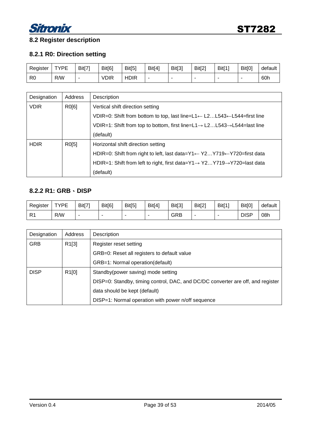

#### **8.2 Register description**

#### **8.2.1 R0: Direction setting**

| Register       | <b>TYPE</b><br>- | Bit[7] | Bit[6]      | Bit[5]      | Bit[4] | Bit[3] | Bit[2] | Bit[1] | Bit[0] | default |
|----------------|------------------|--------|-------------|-------------|--------|--------|--------|--------|--------|---------|
| R <sub>0</sub> | R/W              | -      | <b>VDIR</b> | <b>HDIR</b> |        |        |        |        |        | 60h     |

| Designation | Address | Description                                                                                       |
|-------------|---------|---------------------------------------------------------------------------------------------------|
| <b>VDIR</b> | R0[6]   | Vertical shift direction setting                                                                  |
|             |         | VDIR=0: Shift from bottom to top, last line= $L1 \leftarrow L2L543 \leftarrow L544$ =first line   |
|             |         | VDIR=1: Shift from top to bottom, first line= $L1 \rightarrow L2L543 \rightarrow L544$ =last line |
|             |         | (default)                                                                                         |
| <b>HDIR</b> | R0[5]   | Horizontal shift direction setting                                                                |
|             |         | HDIR=0: Shift from right to left, last data= $Y1 \leftarrow Y2Y719 \leftarrow Y720$ =first data   |
|             |         | HDIR=1: Shift from left to right, first data= $Y1 \rightarrow Y2Y719 \rightarrow Y720$ =last data |
|             |         | (default)                                                                                         |

#### **8.2.2 R1: GRB**、**DISP**

| Register       | <b>TYPF</b><br>- | Bit[7] | Bit[6]                   | Bit[5] | Bit[4] | Bit[3] | Bit[2] | Bit[1] | Bit[0]      | default |
|----------------|------------------|--------|--------------------------|--------|--------|--------|--------|--------|-------------|---------|
| D <sub>4</sub> | R/W              | -      | $\overline{\phantom{a}}$ |        |        | GRB    |        | -      | <b>DISP</b> | 08h     |

| Designation | Address | Description                                                                     |
|-------------|---------|---------------------------------------------------------------------------------|
| <b>GRB</b>  | R1[3]   | Register reset setting                                                          |
|             |         | GRB=0: Reset all registers to default value                                     |
|             |         | GRB=1: Normal operation(default)                                                |
| <b>DISP</b> | R1[0]   | Standby(power saving) mode setting                                              |
|             |         | DISP=0: Standby, timing control, DAC, and DC/DC converter are off, and register |
|             |         | data should be kept (default)                                                   |
|             |         | DISP=1: Normal operation with power n/off sequence                              |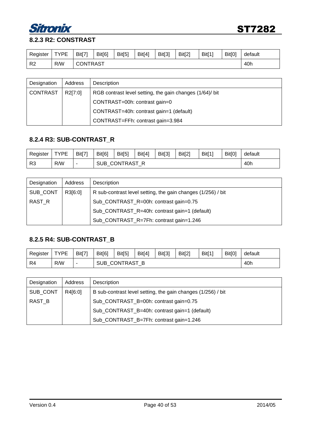

### **8.2.3 R2: CONSTRAST**

| Register       | <b>TYPF</b><br>- | Bit[7] | Bit[6]                 | Bit[5] | Bit[4] | Bit[3] | Bit[2] | Bit[1] | Bit[0] | default |  |
|----------------|------------------|--------|------------------------|--------|--------|--------|--------|--------|--------|---------|--|
| R <sub>2</sub> | R/W              |        | 40h<br><b>CONTRAST</b> |        |        |        |        |        |        |         |  |

| Designation     | Address | Description                                              |
|-----------------|---------|----------------------------------------------------------|
| <b>CONTRAST</b> | R2[7:0] | RGB contrast level setting, the gain changes (1/64)/ bit |
|                 |         | CONTRAST=00h: contrast gain=0                            |
|                 |         | CONTRAST=40h: contrast gain=1 (default)                  |
|                 |         | CONTRAST=FFh: contrast gain=3.984                        |

#### **8.2.4 R3: SUB-CONTRAST\_R**

| Register       | <b>TYPF</b><br>− | Bit[7]                   | Bit[6] | Bit[5]                     | Bit[4] | Bit[3] | Bit[2] | <b>Bit[1]</b> | Bit[0] | default |  |
|----------------|------------------|--------------------------|--------|----------------------------|--------|--------|--------|---------------|--------|---------|--|
| R <sub>3</sub> | R/W              | $\overline{\phantom{a}}$ |        | 40h<br><b>SUB CONTRAST</b> |        |        |        |               |        |         |  |

| Designation | Address | Description                                                  |
|-------------|---------|--------------------------------------------------------------|
| SUB_CONT    | R3[6:0] | R sub-contrast level setting, the gain changes (1/256) / bit |
| RAST R      |         | Sub_CONTRAST_R=00h: contrast gain=0.75                       |
|             |         | Sub_CONTRAST_R=40h: contrast gain=1 (default)                |
|             |         | Sub_CONTRAST_R=7Fh: contrast gain=1.246                      |

#### **8.2.5 R4: SUB-CONTRAST\_B**

| Register | <b>TYPF</b><br>- | Bit[7'                   | Bit[6]     | Bit[5]               | Bit[4] | Bit[3] | Bit[2] | <b>Bit[1]</b> | Bit[0] | default |  |
|----------|------------------|--------------------------|------------|----------------------|--------|--------|--------|---------------|--------|---------|--|
| R4       | R/W              | $\overline{\phantom{a}}$ | <b>SUB</b> | 40h<br>CONTRAST<br>B |        |        |        |               |        |         |  |

| Designation | Address | Description                                                  |
|-------------|---------|--------------------------------------------------------------|
| SUB_CONT    | R4[6:0] | B sub-contrast level setting, the gain changes (1/256) / bit |
| RAST B      |         | Sub_CONTRAST_B=00h: contrast gain=0.75                       |
|             |         | Sub_CONTRAST_B=40h: contrast gain=1 (default)                |
|             |         | Sub_CONTRAST_B=7Fh: contrast gain=1.246                      |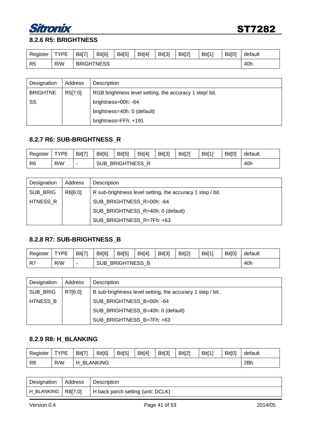

#### **8.2.6 R5: BRIGHTNESS**

| Register | <b>TYPF</b><br>- | Bit[7] | Bit[6]                   | Bit[5] | Bit[4] | Bit[3] | Bit[2] | Bit[1] | Bit[0] | default |
|----------|------------------|--------|--------------------------|--------|--------|--------|--------|--------|--------|---------|
| R5       | R/W              |        | 40h<br><b>BRIGHTNESS</b> |        |        |        |        |        |        |         |

| Designation     | Address | Description                                             |
|-----------------|---------|---------------------------------------------------------|
| <b>BRIGHTNE</b> | R5[7:0] | RGB brightness level setting, the accuracy 1 step/ bit. |
| SS              |         | brightness=00h: -64                                     |
|                 |         | brightness=40h: 0 (default)                             |
|                 |         | brightness=FFh: +191                                    |

#### **8.2.7 R6: SUB-BRIGHTNESS\_R**

| Register       | <b>TYPF</b> | Bit[7] | Bit[6]     | Bit[5]                     | Bit[4] | Bit[3] | Bit[2] | <b>Bit[1]</b> | Bit[0] | default |  |
|----------------|-------------|--------|------------|----------------------------|--------|--------|--------|---------------|--------|---------|--|
| R <sub>6</sub> | R/W         |        | <b>SUB</b> | <b>BRIGHTNESS R</b><br>40h |        |        |        |               |        |         |  |

| Designation | Address | Description                                                |
|-------------|---------|------------------------------------------------------------|
| SUB_BRIG    | R6[6:0] | R sub-brightness level setting, the accuracy 1 step / bit. |
| HTNESS R    |         | SUB_BRIGHTNESS_R=00h: -64                                  |
|             |         | SUB_BRIGHTNESS_R=40h: 0 (default)                          |
|             |         | SUB BRIGHTNESS R=7Fh: +63                                  |

#### **8.2.8 R7: SUB-BRIGHTNESS\_B**

| Register | <b>TYPE</b> | Bit[7]                   | Bit[6] | Bit[5]                  | Bit[4] | Bit[3] | Bit[2] | Bit[1] | Bit[0] | default |  |
|----------|-------------|--------------------------|--------|-------------------------|--------|--------|--------|--------|--------|---------|--|
| -R7      | R/W         | $\overline{\phantom{a}}$ |        | SUB BRIGHTNESS B<br>40h |        |        |        |        |        |         |  |

| Designation | Address | Description                                                |
|-------------|---------|------------------------------------------------------------|
| SUB_BRIG    | R7[6:0] | B sub-brightness level setting, the accuracy 1 step / bit. |
| HTNESS B    |         | SUB_BRIGHTNESS_B=00h: -64                                  |
|             |         | SUB_BRIGHTNESS_B=40h: 0 (default)                          |
|             |         | SUB BRIGHTNESS B=7Fh: +63                                  |

#### **8.2.9 R8: H\_BLANKING**

| Register | <b>TYPE</b> | Bit[7] | Bit[6]          | Bit[5] | Bit[4] | Bit[3] | Bit[2] | Bit[1] | Bit[0] | default |
|----------|-------------|--------|-----------------|--------|--------|--------|--------|--------|--------|---------|
| R8       | R/W         | н      | <b>BLANKING</b> |        |        |        |        |        |        | 2Bh     |

| Designation          | Address | Description                       |
|----------------------|---------|-----------------------------------|
| H_BLANKING   R8[7:0] |         | H back porch setting (unit: DCLK) |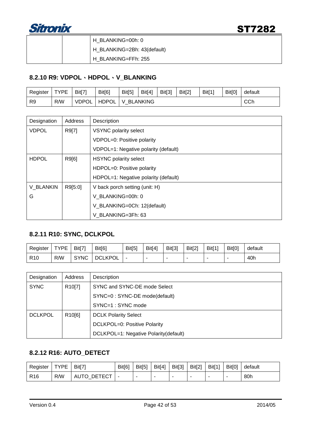

|  | H BLANKING=00h: 0           |
|--|-----------------------------|
|  | H_BLANKING=2Bh: 43(default) |
|  | H BLANKING=FFh: 255         |

#### **8.2.10 R9: VDPOL**、**HDPOL**、**V\_BLANKING**

| Register       | <b>TYPE</b> | Bit[7]       | Bit[6] | Bit[5] | Bit[4]   | Bit[3] | Bit[2] | Bit[1] | Bit[0] | default |
|----------------|-------------|--------------|--------|--------|----------|--------|--------|--------|--------|---------|
| R <sub>9</sub> | R/W         | <b>VDPOL</b> | HDPOL  | V      | BLANKING |        |        |        |        | CCh     |

| Designation  | Address | Description                          |  |  |  |  |  |
|--------------|---------|--------------------------------------|--|--|--|--|--|
| <b>VDPOL</b> | R9[7]   | <b>VSYNC polarity select</b>         |  |  |  |  |  |
|              |         | VDPOL=0: Positive polarity           |  |  |  |  |  |
|              |         | VDPOL=1: Negative polarity (default) |  |  |  |  |  |
| <b>HDPOL</b> | R9[6]   | <b>HSYNC</b> polarity select         |  |  |  |  |  |
|              |         | HDPOL=0: Positive polarity           |  |  |  |  |  |
|              |         | HDPOL=1: Negative polarity (default) |  |  |  |  |  |
| V BLANKIN    | R9[5:0] | V back porch setting (unit: H)       |  |  |  |  |  |
| G            |         | V BLANKING=00h: 0                    |  |  |  |  |  |
|              |         | V_BLANKING=0Ch: 12(default)          |  |  |  |  |  |
|              |         | V BLANKING=3Fh: 63                   |  |  |  |  |  |

#### **8.2.11 R10: SYNC, DCLKPOL**

| Register        | <b>TYPF</b><br>- | Bit[7]      | Bit[6]         | Bit[5] | Bit[4] | Bit[3] | Bit[2] | Bit[1] | Bit[0] | default |
|-----------------|------------------|-------------|----------------|--------|--------|--------|--------|--------|--------|---------|
| R <sub>10</sub> | R/W              | <b>SYNC</b> | <b>DCLKPOL</b> |        |        |        |        |        |        | 40h     |

| Designation    | Address             | Description                           |
|----------------|---------------------|---------------------------------------|
| <b>SYNC</b>    | R <sub>10</sub> [7] | SYNC and SYNC-DE mode Select          |
|                |                     | SYNC=0 : SYNC-DE mode(default)        |
|                |                     | SYNC=1 : SYNC mode                    |
| <b>DCLKPOL</b> | R <sub>10</sub> [6] | <b>DCLK Polarity Select</b>           |
|                |                     | DCLKPOL=0: Positive Polarity          |
|                |                     | DCLKPOL=1: Negative Polarity(default) |

#### **8.2.12 R16: AUTO\_DETECT**

| Register        | <b>TYPF</b> | Bit[7'                     | Bit[6] | Bit[5] | Bit[4] | Bit[3] | Bit[2] | Bit[1] | Bit[0] | default |
|-----------------|-------------|----------------------------|--------|--------|--------|--------|--------|--------|--------|---------|
| R <sub>16</sub> | R/W         | TECT<br>DET<br><b>AUTO</b> | -      |        |        |        | -      |        |        | 80h     |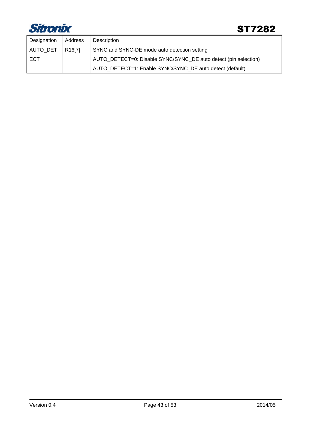

| Designation | Address             | Description                                                     |
|-------------|---------------------|-----------------------------------------------------------------|
| AUTO_DET    | R <sub>16</sub> [7] | SYNC and SYNC-DE mode auto detection setting                    |
| ECT         |                     | AUTO_DETECT=0: Disable SYNC/SYNC_DE auto detect (pin selection) |
|             |                     | AUTO_DETECT=1: Enable SYNC/SYNC_DE auto detect (default)        |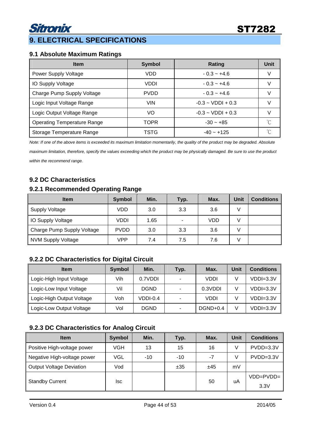#### **9.1 Absolute Maximum Ratings**

| <b>Item</b>                        | <b>Symbol</b> | Rating                        | Unit |
|------------------------------------|---------------|-------------------------------|------|
| Power Supply Voltage               | VDD           | $-0.3 - +4.6$                 | V    |
| <b>IO Supply Voltage</b>           | <b>VDDI</b>   | $-0.3 - +4.6$                 |      |
| Charge Pump Supply Voltage         | <b>PVDD</b>   | $-0.3 - +4.6$                 |      |
| Logic Input Voltage Range          | VIN.          | $-0.3 \sim \text{VDD1} + 0.3$ | V    |
| Logic Output Voltage Range         | VO            | $-0.3 \sim \text{VDD1} + 0.3$ |      |
| <b>Operating Temperature Range</b> | <b>TOPR</b>   | $-30 - +85$                   | ℃    |
| Storage Temperature Range          | TSTG          | $-40 - +125$                  |      |

Note: If one of the above items is exceeded its maximum limitation momentarily, the quality of the product may be degraded. Absolute

maximum limitation, therefore, specify the values exceeding which the product may be physically damaged. Be sure to use the product within the recommend range.

#### **9.2 DC Characteristics**

#### **9.2.1 Recommended Operating Range**

| <b>Item</b>                | Symbol      | Min. | Typ. | Max.       | Unit | <b>Conditions</b> |
|----------------------------|-------------|------|------|------------|------|-------------------|
| Supply Voltage             | VDD         | 3.0  | 3.3  | 3.6        | v    |                   |
| IO Supply Voltage          | VDDI        | 1.65 | ۰    | <b>VDD</b> | V    |                   |
| Charge Pump Supply Voltage | <b>PVDD</b> | 3.0  | 3.3  | 3.6        | V    |                   |
| NVM Supply Voltage         | VPP         | 7.4  | 7.5  | 7.6        |      |                   |

#### **9.2.2 DC Characteristics for Digital Circuit**

| <b>Item</b>               | Symbol | Min.        | Typ. | Max.      | Unit | <b>Conditions</b> |
|---------------------------|--------|-------------|------|-----------|------|-------------------|
| Logic-High Input Voltage  | Vih    | 0.7VDDI     |      | VDDI      |      | $VDDI=3.3V$       |
| Logic-Low Input Voltage   | Vil    | <b>DGND</b> |      | 0.3VDDI   |      | $VDDI=3.3V$       |
| Logic-High Output Voltage | Voh    | VDDI-0.4    |      | VDDI      |      | $VDDI=3.3V$       |
| Logic-Low Output Voltage  | Vol    | <b>DGND</b> |      | $DGD+0.4$ | V    | $VDDI=3.3V$       |

#### **9.2.3 DC Characteristics for Analog Circuit**

| <b>Item</b>                     | <b>Symbol</b> | Min.  | Typ.  | Max. | Unit | <b>Conditions</b> |
|---------------------------------|---------------|-------|-------|------|------|-------------------|
| Positive High-voltage power     | VGH           | 13    | 15    | 16   | V    | $PVDD = 3.3V$     |
| Negative High-voltage power     | VGL           | $-10$ | $-10$ | $-7$ | V    | $PVDD = 3.3V$     |
| <b>Output Voltage Deviation</b> | Vod           |       | ±35   | ±45  | mV   |                   |
|                                 | lsc           |       |       | 50   | uA   | $VDD = PVDD =$    |
| <b>Standby Current</b>          |               |       |       |      |      | 3.3V              |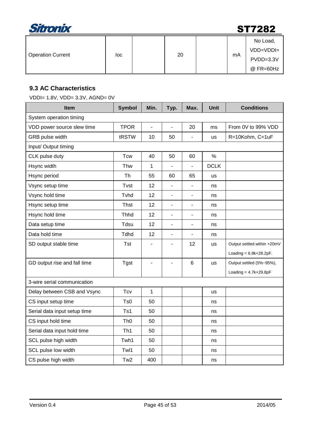

| <b>Operation Current</b> | loc |  | 20 |  | mA | No Load,<br>$VDD=VDDI=$<br>$PVDD = 3.3V$<br>$@$ FR=60Hz |
|--------------------------|-----|--|----|--|----|---------------------------------------------------------|
|--------------------------|-----|--|----|--|----|---------------------------------------------------------|

#### **9.3 AC Characteristics**

VDDI= 1.8V, VDD= 3.3V, AGND= 0V

| <b>Item</b>                  | <b>Symbol</b>   | Min. | Typ.                     | Max.                     | <b>Unit</b>   | <b>Conditions</b>           |
|------------------------------|-----------------|------|--------------------------|--------------------------|---------------|-----------------------------|
| System operation timing      |                 |      |                          |                          |               |                             |
| VDD power source slew time   | <b>TPOR</b>     | L,   |                          | 20                       | ms            | From 0V to 99% VDD          |
| GRB pulse width              | tRSTW           | 10   | 50                       | $\overline{\phantom{0}}$ | <b>us</b>     | R=10Kohm, C=1uF             |
| Input/ Output timing         |                 |      |                          |                          |               |                             |
| CLK pulse duty               | <b>Tcw</b>      | 40   | 50                       | 60                       | $\frac{0}{0}$ |                             |
| Hsync width                  | Thw             | 1    |                          | ä,                       | <b>DCLK</b>   |                             |
| Hsync period                 | Th              | 55   | 60                       | 65                       | us            |                             |
| Vsync setup time             | Tvst            | 12   |                          |                          | ns            |                             |
| Vsync hold time              | Tvhd            | 12   | $\blacksquare$           | $\blacksquare$           | ns            |                             |
| Hsync setup time             | Thst            | 12   | $\blacksquare$           | L,                       | ns            |                             |
| Hsync hold time              | Thhd            | 12   |                          |                          | ns            |                             |
| Data setup time              | Tdsu            | 12   |                          |                          | ns            |                             |
| Data hold time               | Tdhd            | 12   | $\blacksquare$           | ä,                       | ns            |                             |
| SD output stable time        | <b>Tst</b>      | Ĭ.   | $\blacksquare$           | 12                       | <b>us</b>     | Output settled within +20mV |
|                              |                 |      |                          |                          |               | Loading = $6.8k+28.2pF$ .   |
| GD output rise and fall time | <b>Tgst</b>     |      | $\overline{\phantom{0}}$ | 6                        | <b>us</b>     | Output settled (5%~95%),    |
|                              |                 |      |                          |                          |               | Loading = $4.7k+29.8pF$     |
| 3-wire serial communication  |                 |      |                          |                          |               |                             |
| Delay between CSB and Vsync  | Tcv             | 1    |                          |                          | <b>us</b>     |                             |
| CS input setup time          | Ts0             | 50   |                          |                          | ns            |                             |
| Serial data input setup time | Ts1             | 50   |                          |                          | ns            |                             |
| CS input hold time           | Th <sub>0</sub> | 50   |                          |                          | ns            |                             |
| Serial data input hold time  | Th <sub>1</sub> | 50   |                          |                          | ns            |                             |
| SCL pulse high width         | Twh1            | 50   |                          |                          | ns            |                             |
| SCL pulse low width          | Twl1            | 50   |                          |                          | ns            |                             |
| CS pulse high width          | Tw <sub>2</sub> | 400  |                          |                          | ns            |                             |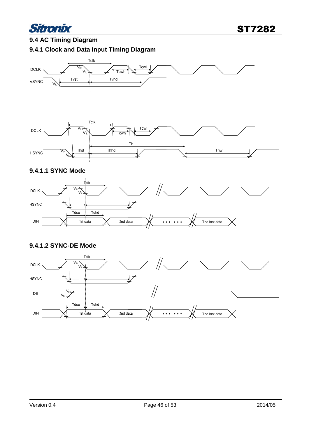

### **9.4 AC Timing Diagram 9.4.1 Clock and Data Input Timing Diagram**





#### **9.4.1.1 SYNC Mode**



#### **9.4.1.2 SYNC-DE Mode**

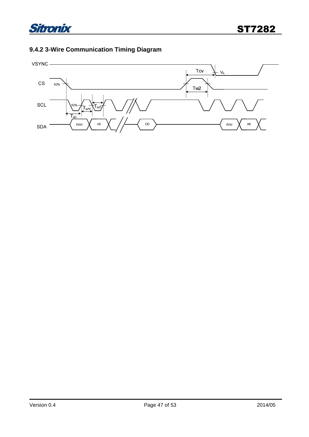

### **9.4.2 3-Wire Communication Timing Diagram**

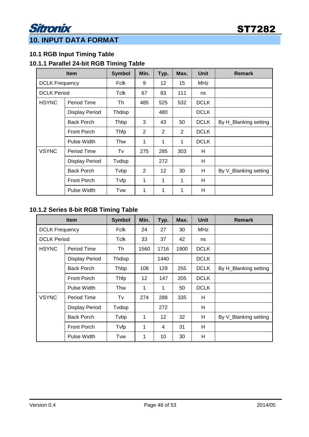### Sitronix **10. INPUT DATA FORMAT**

#### **10.1 RGB Input Timing Table**

#### **10.1.1 Parallel 24-bit RGB Timing Table**

| <b>Item</b>        |                       | <b>Symbol</b> | Min. | Typ. | Max.           | <b>Unit</b> | <b>Remark</b>         |
|--------------------|-----------------------|---------------|------|------|----------------|-------------|-----------------------|
|                    | <b>DCLK Frequency</b> |               | 9    | 12   | 15             | <b>MHz</b>  |                       |
| <b>DCLK Period</b> |                       | Tclk          | 67   | 83   | 111            | ns          |                       |
| <b>HSYNC</b>       | Period Time           | Th            | 485  | 525  | 532            | <b>DCLK</b> |                       |
|                    | <b>Display Period</b> | Thdisp        |      | 480  |                | <b>DCLK</b> |                       |
|                    | <b>Back Porch</b>     | Thbp          | 3    | 43   | 50             | <b>DCLK</b> | By H_Blanking setting |
|                    | <b>Front Porch</b>    | Thfp          | 2    | 2    | $\overline{2}$ | <b>DCLK</b> |                       |
|                    | Pulse Width           | Thw           | 1    | 1    | 1              | <b>DCLK</b> |                       |
| <b>VSYNC</b>       | Period Time           | Tv            | 275  | 285  | 303            | H           |                       |
|                    | <b>Display Period</b> | Tvdisp        |      | 272  |                | H           |                       |
|                    | <b>Back Porch</b>     | Tvbp          | 2    | 12   | 30             | H           | By V_Blanking setting |
|                    | <b>Front Porch</b>    | Tvfp          | 1    | 1    | 1              | H           |                       |
|                    | <b>Pulse Width</b>    | Tvw           | 1    | 1    | 1              | н           |                       |

#### **10.1.2 Series 8-bit RGB Timing Table**

|                       | <b>Item</b>           | <b>Symbol</b> | Min. | Typ. | Max. | <b>Unit</b> | <b>Remark</b>         |
|-----------------------|-----------------------|---------------|------|------|------|-------------|-----------------------|
| <b>DCLK Frequency</b> |                       | Fclk          | 24   | 27   | 30   | MHz         |                       |
| <b>DCLK Period</b>    |                       | Tclk          | 33   | 37   | 42   | ns          |                       |
| <b>HSYNC</b>          | Period Time           | Th            | 1560 | 1716 | 1900 | <b>DCLK</b> |                       |
|                       | <b>Display Period</b> | Thdisp        |      | 1440 |      | <b>DCLK</b> |                       |
|                       | <b>Back Porch</b>     | Thbp          | 108  | 129  | 255  | <b>DCLK</b> | By H_Blanking setting |
|                       | <b>Front Porch</b>    | Thfp          | 12   | 147  | 205  | <b>DCLK</b> |                       |
|                       | Pulse Width           | Thw           | 1    | 1    | 50   | <b>DCLK</b> |                       |
| <b>VSYNC</b>          | Period Time           | Tv            | 274  | 288  | 335  | H           |                       |
|                       | <b>Display Period</b> | Tvdisp        |      | 272  |      | H           |                       |
|                       | <b>Back Porch</b>     | Tvbp          | 1    | 12   | 32   | н           | By V_Blanking setting |
|                       | <b>Front Porch</b>    | Tvfp          | 1    | 4    | 31   | H           |                       |
|                       | Pulse Width           | Tvw           | 1    | 10   | 30   | H           |                       |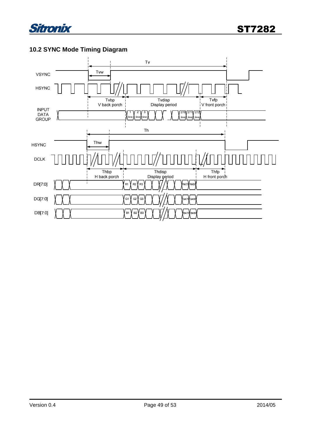

### **10.2 SYNC Mode Timing Diagram**

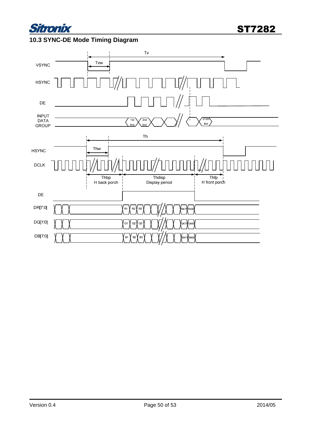

#### **10.3 SYNC-DE Mode Timing Diagram**

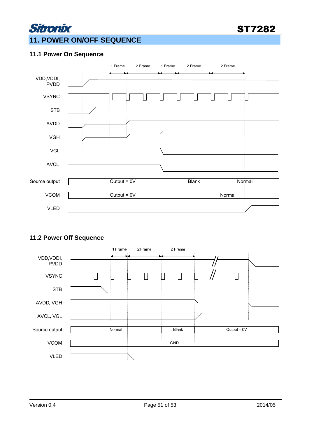

### **11. POWER ON/OFF SEQUENCE**

#### **11.1 Power On Sequence**

Sitronix



#### **11.2 Power Off Sequence**

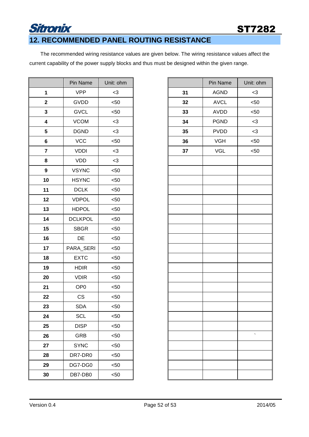### ST7282

### **12. RECOMMENDED PANEL ROUTING RESISTANCE**

Sitronix

The recommended wiring resistance values are given below. The wiring resistance values affect the current capability of the power supply blocks and thus must be designed within the given range.

|                         | Pin Name        | Unit: ohm |
|-------------------------|-----------------|-----------|
| $\mathbf{1}$            | <b>VPP</b>      | $<$ 3     |
| $\mathbf{2}$            | GVDD            | $50$      |
| $\mathbf{3}$            | <b>GVCL</b>     | $50$      |
| $\overline{\mathbf{4}}$ | <b>VCOM</b>     | $<$ 3     |
| 5                       | <b>DGND</b>     | $<$ 3     |
| 6                       | VCC             | $50$      |
| $\overline{7}$          | <b>VDDI</b>     | $<$ 3     |
| 8                       | <b>VDD</b>      | $<$ 3     |
| $\boldsymbol{9}$        | <b>VSYNC</b>    | $50$      |
| 10                      | <b>HSYNC</b>    | $50$      |
| 11                      | <b>DCLK</b>     | $50$      |
| 12                      | <b>VDPOL</b>    | $50$      |
| 13                      | <b>HDPOL</b>    | $50$      |
| 14                      | <b>DCLKPOL</b>  | $50$      |
| 15                      | <b>SBGR</b>     | $50$      |
| 16                      | DE              | $50$      |
| 17                      | PARA_SERI       | $50$      |
| 18                      | <b>EXTC</b>     | $50$      |
| 19                      | <b>HDIR</b>     | $50$      |
| 20                      | <b>VDIR</b>     | $50$      |
| 21                      | OP <sub>0</sub> | $50$      |
| 22                      | CS              | $50$      |
| 23                      | <b>SDA</b>      | $50$      |
| 24                      | SCL             | < 50      |
| 25                      | <b>DISP</b>     | $50$      |
| 26                      | <b>GRB</b>      | $50$      |
| 27                      | <b>SYNC</b>     | $50$      |
| 28                      | DR7-DR0         | $50$      |
| 29                      | DG7-DG0         | $50$      |
| 30                      | DB7-DB0         | $50$      |

|                         | Pin Name        | Unit: ohm |    | Pin Name    | Unit: ohm |
|-------------------------|-----------------|-----------|----|-------------|-----------|
| 1                       | <b>VPP</b>      | $<$ 3     | 31 | <b>AGND</b> | $<$ 3     |
| 2                       | GVDD            | < 50      | 32 | <b>AVCL</b> | < 50      |
| 3                       | <b>GVCL</b>     | $50$      | 33 | AVDD        | < 50      |
| 4                       | <b>VCOM</b>     | $<$ 3     | 34 | <b>PGND</b> | $<$ 3     |
| 5                       | <b>DGND</b>     | $<$ 3     | 35 | <b>PVDD</b> | $<$ 3     |
| 6                       | <b>VCC</b>      | $50$      | 36 | <b>VGH</b>  | $< 50$    |
| $\overline{\mathbf{r}}$ | <b>VDDI</b>     | $<$ 3     | 37 | <b>VGL</b>  | < 50      |
| 8                       | VDD             | $<$ 3     |    |             |           |
| 9                       | <b>VSYNC</b>    | $50$      |    |             |           |
| 10                      | <b>HSYNC</b>    | $50$      |    |             |           |
| $\blacksquare$          | <b>DCLK</b>     | $50$      |    |             |           |
| <b>2</b>                | <b>VDPOL</b>    | < 50      |    |             |           |
| 13                      | <b>HDPOL</b>    | $50$      |    |             |           |
| 14                      | <b>DCLKPOL</b>  | $50$      |    |             |           |
| 15                      | <b>SBGR</b>     | $50$      |    |             |           |
| 16                      | DE              | $50$      |    |             |           |
| 17                      | PARA_SERI       | $50$      |    |             |           |
| 8                       | <b>EXTC</b>     | $50$      |    |             |           |
| 19                      | <b>HDIR</b>     | $50$      |    |             |           |
| 20                      | <b>VDIR</b>     | < 50      |    |             |           |
| 21                      | OP <sub>0</sub> | < 50      |    |             |           |
| $\overline{2}$          | CS              | $50$      |    |             |           |
| 23                      | <b>SDA</b>      | $50$      |    |             |           |
| 24                      | <b>SCL</b>      | $50$      |    |             |           |
| 25                      | <b>DISP</b>     | $50$      |    |             |           |
| 26                      | GRB             | < 50      |    |             |           |
| $\overline{27}$         | <b>SYNC</b>     | $50$      |    |             |           |
| 28                      | DR7-DR0         | $50$      |    |             |           |
| 29                      | DG7-DG0         | < 50      |    |             |           |
| 30                      | DB7-DB0         | $50$      |    |             |           |